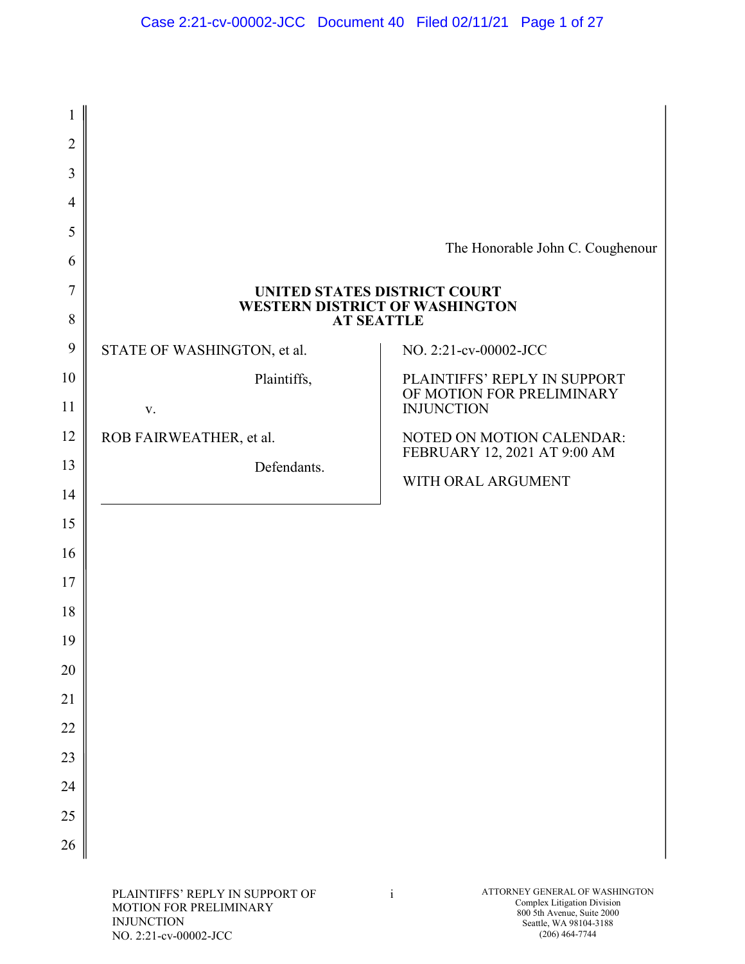| $\overline{2}$ |                                                                |                                                           |
|----------------|----------------------------------------------------------------|-----------------------------------------------------------|
| 3              |                                                                |                                                           |
| $\overline{4}$ |                                                                |                                                           |
| 5              |                                                                | The Honorable John C. Coughenour                          |
| 6              |                                                                |                                                           |
| 7              | UNITED STATES DISTRICT COURT<br>WESTERN DISTRICT OF WASHINGTON |                                                           |
| 8              | <b>AT SEATTLE</b>                                              |                                                           |
| 9              | STATE OF WASHINGTON, et al.                                    | NO. 2:21-cv-00002-JCC                                     |
| 10             | Plaintiffs,                                                    | PLAINTIFFS' REPLY IN SUPPORT<br>OF MOTION FOR PRELIMINARY |
| 11             | $\mathbf{V}$ .                                                 | <b>INJUNCTION</b>                                         |
| 12             | ROB FAIRWEATHER, et al.                                        | NOTED ON MOTION CALENDAR:<br>FEBRUARY 12, 2021 AT 9:00 AM |
| 13             | Defendants.                                                    | WITH ORAL ARGUMENT                                        |
| 14             |                                                                |                                                           |
| 15             |                                                                |                                                           |
| 16             |                                                                |                                                           |
| 17             |                                                                |                                                           |
| 18             |                                                                |                                                           |
| 19             |                                                                |                                                           |
| 20             |                                                                |                                                           |
| 21             |                                                                |                                                           |
| 22             |                                                                |                                                           |
| 23             |                                                                |                                                           |
| 24             |                                                                |                                                           |
| 25             |                                                                |                                                           |
| 26             |                                                                |                                                           |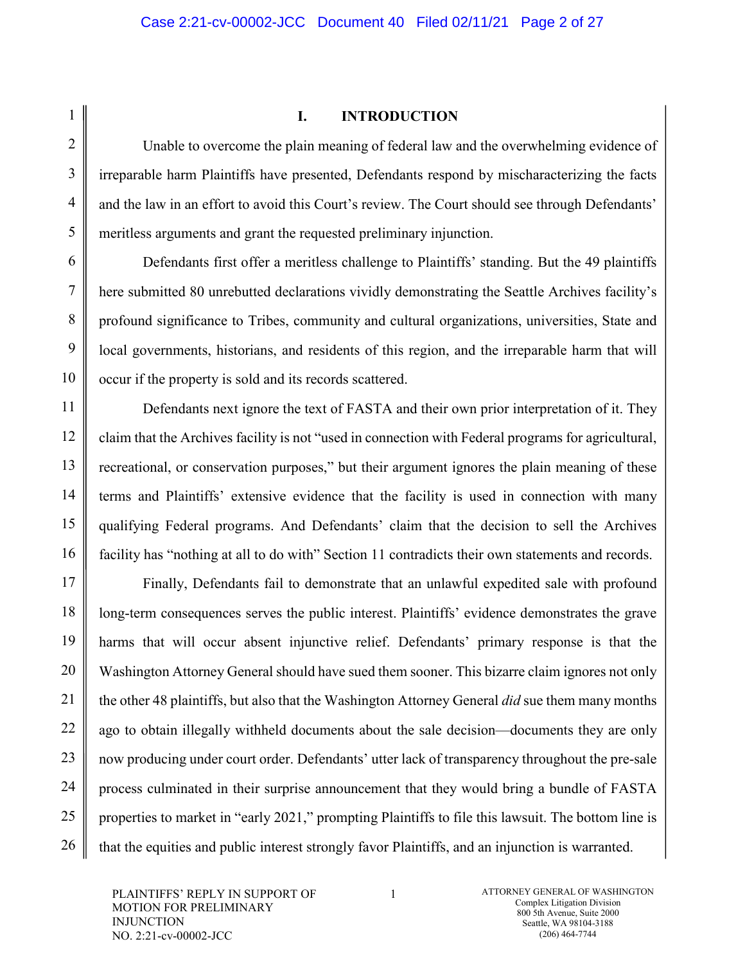#### **I. INTRODUCTION**

Unable to overcome the plain meaning of federal law and the overwhelming evidence of irreparable harm Plaintiffs have presented, Defendants respond by mischaracterizing the facts and the law in an effort to avoid this Court's review. The Court should see through Defendants' meritless arguments and grant the requested preliminary injunction.

Defendants first offer a meritless challenge to Plaintiffs' standing. But the 49 plaintiffs here submitted 80 unrebutted declarations vividly demonstrating the Seattle Archives facility's profound significance to Tribes, community and cultural organizations, universities, State and local governments, historians, and residents of this region, and the irreparable harm that will occur if the property is sold and its records scattered.

Defendants next ignore the text of FASTA and their own prior interpretation of it. They claim that the Archives facility is not "used in connection with Federal programs for agricultural, recreational, or conservation purposes," but their argument ignores the plain meaning of these terms and Plaintiffs' extensive evidence that the facility is used in connection with many qualifying Federal programs. And Defendants' claim that the decision to sell the Archives facility has "nothing at all to do with" Section 11 contradicts their own statements and records.

Finally, Defendants fail to demonstrate that an unlawful expedited sale with profound long-term consequences serves the public interest. Plaintiffs' evidence demonstrates the grave harms that will occur absent injunctive relief. Defendants' primary response is that the Washington Attorney General should have sued them sooner. This bizarre claim ignores not only the other 48 plaintiffs, but also that the Washington Attorney General *did* sue them many months ago to obtain illegally withheld documents about the sale decision—documents they are only now producing under court order. Defendants' utter lack of transparency throughout the pre-sale process culminated in their surprise announcement that they would bring a bundle of FASTA properties to market in "early 2021," prompting Plaintiffs to file this lawsuit. The bottom line is that the equities and public interest strongly favor Plaintiffs, and an injunction is warranted.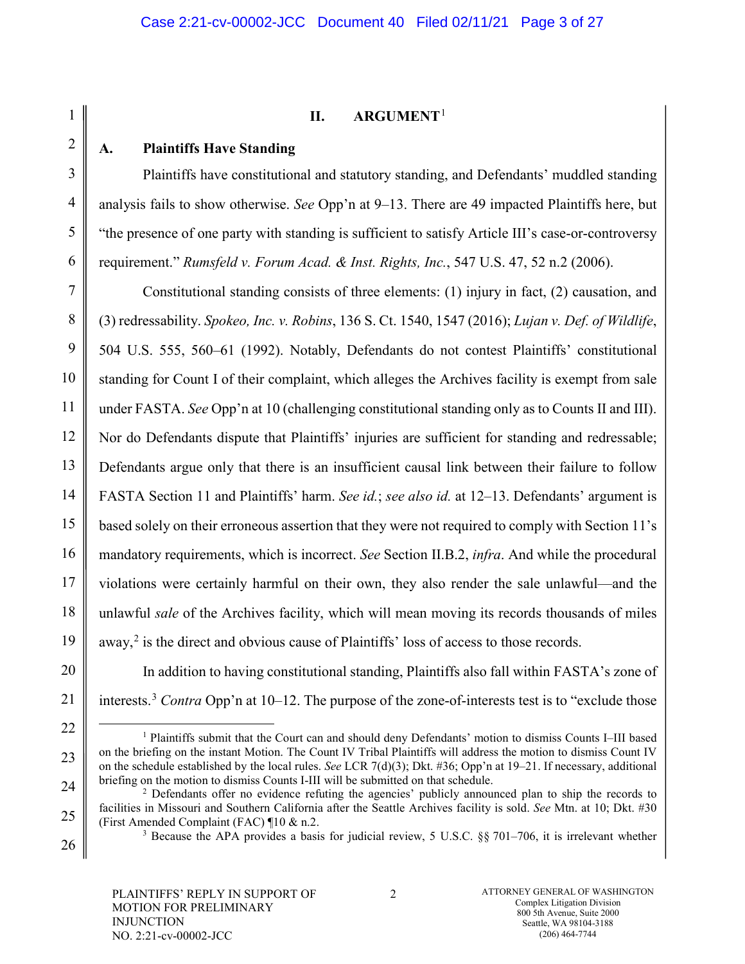# 1 2 3 4 5 6 7 8 9 10 11 12 13 14 15 16 17 18 19 20 21 22 23 24 25 26

#### **II. ARGUMENT**[1](#page-2-0)

## **A. Plaintiffs Have Standing**

Plaintiffs have constitutional and statutory standing, and Defendants' muddled standing analysis fails to show otherwise. *See* Opp'n at 9–13. There are 49 impacted Plaintiffs here, but "the presence of one party with standing is sufficient to satisfy Article III's case-or-controversy requirement." *Rumsfeld v. Forum Acad. & Inst. Rights, Inc.*, 547 U.S. 47, 52 n.2 (2006).

Constitutional standing consists of three elements: (1) injury in fact, (2) causation, and (3) redressability. *Spokeo, Inc. v. Robins*, 136 S. Ct. 1540, 1547 (2016); *Lujan v. Def. of Wildlife*, 504 U.S. 555, 560–61 (1992). Notably, Defendants do not contest Plaintiffs' constitutional standing for Count I of their complaint, which alleges the Archives facility is exempt from sale under FASTA. *See* Opp'n at 10 (challenging constitutional standing only as to Counts II and III). Nor do Defendants dispute that Plaintiffs' injuries are sufficient for standing and redressable; Defendants argue only that there is an insufficient causal link between their failure to follow FASTA Section 11 and Plaintiffs' harm. *See id.*; *see also id.* at 12–13. Defendants' argument is based solely on their erroneous assertion that they were not required to comply with Section 11's mandatory requirements, which is incorrect. *See* Section II.B.2, *infra*. And while the procedural violations were certainly harmful on their own, they also render the sale unlawful—and the unlawful *sale* of the Archives facility, which will mean moving its records thousands of miles away, $^2$  $^2$  is the direct and obvious cause of Plaintiffs' loss of access to those records.

In addition to having constitutional standing, Plaintiffs also fall within FASTA's zone of interests.<sup>[3](#page-2-2)</sup> *Contra* Opp'n at 10–12. The purpose of the zone-of-interests test is to "exclude those"

<span id="page-2-0"></span> <sup>1</sup> Plaintiffs submit that the Court can and should deny Defendants' motion to dismiss Counts I–III based on the briefing on the instant Motion. The Count IV Tribal Plaintiffs will address the motion to dismiss Count IV on the schedule established by the local rules. *See* LCR 7(d)(3); Dkt. #36; Opp'n at 19‒21. If necessary, additional briefing on the motion to dismiss Counts I-III will be submitted on that schedule.

<span id="page-2-2"></span><span id="page-2-1"></span><sup>&</sup>lt;sup>2</sup> Defendants offer no evidence refuting the agencies' publicly announced plan to ship the records to facilities in Missouri and Southern California after the Seattle Archives facility is sold. *See* Mtn. at 10; Dkt. #30 (First Amended Complaint (FAC) ¶10 & n.2.

<sup>&</sup>lt;sup>3</sup> Because the APA provides a basis for judicial review, 5 U.S.C. §§ 701–706, it is irrelevant whether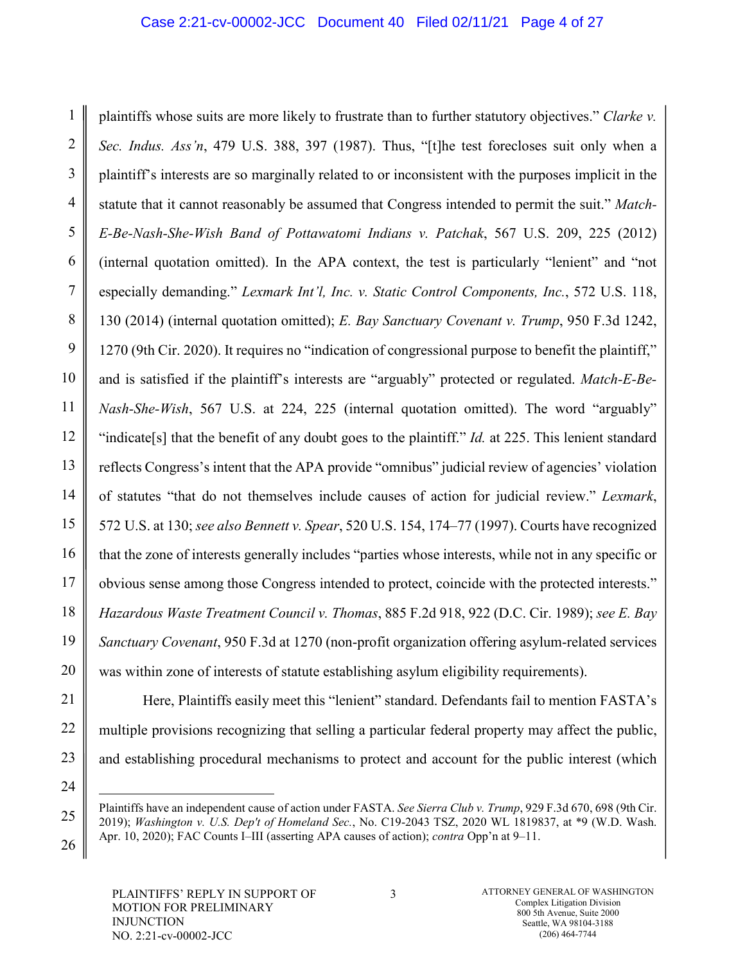1 2 3 4 5 6 7 8 9 10 11 12 13 14 15 16 17 18 19 20 plaintiffs whose suits are more likely to frustrate than to further statutory objectives." *Clarke v. Sec. Indus. Ass'n*, 479 U.S. 388, 397 (1987). Thus, "[t]he test forecloses suit only when a plaintiff's interests are so marginally related to or inconsistent with the purposes implicit in the statute that it cannot reasonably be assumed that Congress intended to permit the suit." *Match-E-Be-Nash-She-Wish Band of Pottawatomi Indians v. Patchak*, 567 U.S. 209, 225 (2012) (internal quotation omitted). In the APA context, the test is particularly "lenient" and "not especially demanding." *Lexmark Int'l, Inc. v. Static Control Components, Inc.*, 572 U.S. 118, 130 (2014) (internal quotation omitted); *E. Bay Sanctuary Covenant v. Trump*, 950 F.3d 1242, 1270 (9th Cir. 2020). It requires no "indication of congressional purpose to benefit the plaintiff," and is satisfied if the plaintiff's interests are "arguably" protected or regulated. *Match-E-Be-Nash-She-Wish*, 567 U.S. at 224, 225 (internal quotation omitted). The word "arguably" "indicate[s] that the benefit of any doubt goes to the plaintiff." *Id.* at 225. This lenient standard reflects Congress's intent that the APA provide "omnibus" judicial review of agencies' violation of statutes "that do not themselves include causes of action for judicial review." *Lexmark*, 572 U.S. at 130; *see also Bennett v. Spear*, 520 U.S. 154, 174‒77 (1997). Courts have recognized that the zone of interests generally includes "parties whose interests, while not in any specific or obvious sense among those Congress intended to protect, coincide with the protected interests." *Hazardous Waste Treatment Council v. Thomas*, 885 F.2d 918, 922 (D.C. Cir. 1989); *see E. Bay Sanctuary Covenant*, 950 F.3d at 1270 (non-profit organization offering asylum-related services was within zone of interests of statute establishing asylum eligibility requirements).

Here, Plaintiffs easily meet this "lenient" standard. Defendants fail to mention FASTA's multiple provisions recognizing that selling a particular federal property may affect the public, and establishing procedural mechanisms to protect and account for the public interest (which

24

-

25

26

21

22

Plaintiffs have an independent cause of action under FASTA. *See Sierra Club v. Trump*, 929 F.3d 670, 698 (9th Cir. 2019); *Washington v. U.S. Dep't of Homeland Sec.*, No. C19-2043 TSZ, 2020 WL 1819837, at \*9 (W.D. Wash. Apr. 10, 2020); FAC Counts I–III (asserting APA causes of action); *contra* Opp'n at 9–11.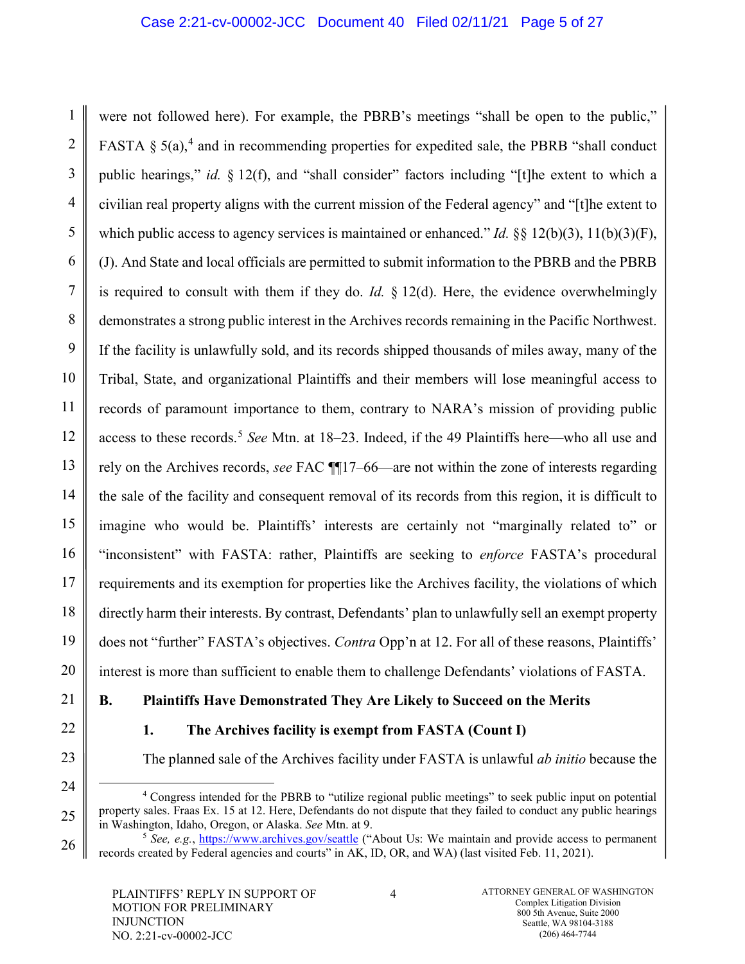1 2 3 4 5 6 7 8 9 10 11 12 13 14 15 16 were not followed here). For example, the PBRB's meetings "shall be open to the public," FASTA  $\S$  5(a),<sup>[4](#page-4-0)</sup> and in recommending properties for expedited sale, the PBRB "shall conduct public hearings," *id.* § 12(f), and "shall consider" factors including "[t]he extent to which a civilian real property aligns with the current mission of the Federal agency" and "[t]he extent to which public access to agency services is maintained or enhanced." *Id.* §§ 12(b)(3), 11(b)(3)(F), (J). And State and local officials are permitted to submit information to the PBRB and the PBRB is required to consult with them if they do. *Id.*  $\S 12(d)$ . Here, the evidence overwhelmingly demonstrates a strong public interest in the Archives records remaining in the Pacific Northwest. If the facility is unlawfully sold, and its records shipped thousands of miles away, many of the Tribal, State, and organizational Plaintiffs and their members will lose meaningful access to records of paramount importance to them, contrary to NARA's mission of providing public access to these records.[5](#page-4-1) *See* Mtn. at 18‒23. Indeed, if the 49 Plaintiffs here—who all use and rely on the Archives records, *see* FAC  $\P$ 17–66—are not within the zone of interests regarding the sale of the facility and consequent removal of its records from this region, it is difficult to imagine who would be. Plaintiffs' interests are certainly not "marginally related to" or "inconsistent" with FASTA: rather, Plaintiffs are seeking to *enforce* FASTA's procedural requirements and its exemption for properties like the Archives facility, the violations of which directly harm their interests. By contrast, Defendants' plan to unlawfully sell an exempt property does not "further" FASTA's objectives. *Contra* Opp'n at 12. For all of these reasons, Plaintiffs' interest is more than sufficient to enable them to challenge Defendants' violations of FASTA.

<span id="page-4-1"></span><span id="page-4-0"></span>26

## **B. Plaintiffs Have Demonstrated They Are Likely to Succeed on the Merits**

## **1. The Archives facility is exempt from FASTA (Count I)**

The planned sale of the Archives facility under FASTA is unlawful *ab initio* because the

 <sup>4</sup> Congress intended for the PBRB to "utilize regional public meetings" to seek public input on potential property sales. Fraas Ex. 15 at 12. Here, Defendants do not dispute that they failed to conduct any public hearings in Washington, Idaho, Oregon, or Alaska. *See* Mtn. at 9.

<sup>&</sup>lt;sup>5</sup> See, e.g.,<https://www.archives.gov/seattle> ("About Us: We maintain and provide access to permanent records created by Federal agencies and courts" in AK, ID, OR, and WA) (last visited Feb. 11, 2021).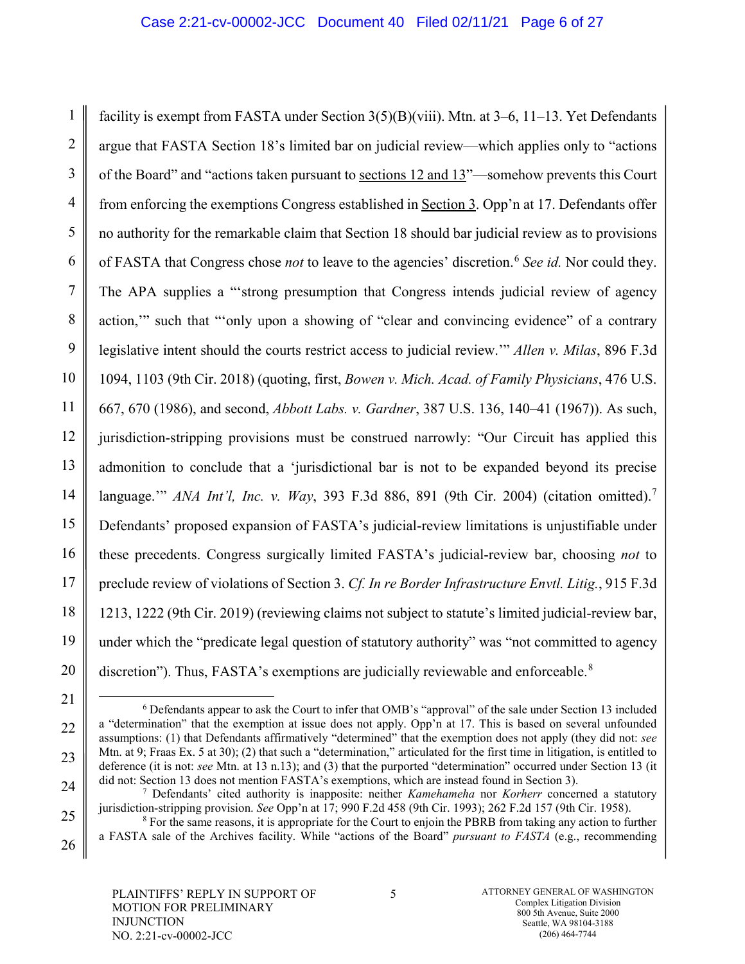#### Case 2:21-cv-00002-JCC Document 40 Filed 02/11/21 Page 6 of 27

1 2 3 4 5 6 7 8 9 10 11 12 13 14 15 16 17 18 19 20 facility is exempt from FASTA under Section  $3(5)(B)(viii)$ . Mtn. at  $3-6$ ,  $11-13$ . Yet Defendants argue that FASTA Section 18's limited bar on judicial review—which applies only to "actions of the Board" and "actions taken pursuant to sections 12 and 13"—somehow prevents this Court from enforcing the exemptions Congress established in Section 3. Opp'n at 17. Defendants offer no authority for the remarkable claim that Section 18 should bar judicial review as to provisions of FASTA that Congress chose *not* to leave to the agencies' discretion.[6](#page-5-0) *See id.* Nor could they. The APA supplies a "'strong presumption that Congress intends judicial review of agency action,'" such that "'only upon a showing of "clear and convincing evidence" of a contrary legislative intent should the courts restrict access to judicial review.'" *Allen v. Milas*, 896 F.3d 1094, 1103 (9th Cir. 2018) (quoting, first, *Bowen v. Mich. Acad. of Family Physicians*, 476 U.S. 667, 670 (1986), and second, *Abbott Labs. v. Gardner*, 387 U.S. 136, 140‒41 (1967)). As such, jurisdiction-stripping provisions must be construed narrowly: "Our Circuit has applied this admonition to conclude that a 'jurisdictional bar is not to be expanded beyond its precise language.'" *ANA Int'l, Inc. v. Way*, 393 F.3d 886, 891 (9th Cir. 2004) (citation omitted).[7](#page-5-1) Defendants' proposed expansion of FASTA's judicial-review limitations is unjustifiable under these precedents. Congress surgically limited FASTA's judicial-review bar, choosing *not* to preclude review of violations of Section 3. *Cf. In re Border Infrastructure Envtl. Litig.*, 915 F.3d 1213, 1222 (9th Cir. 2019) (reviewing claims not subject to statute's limited judicial-review bar, under which the "predicate legal question of statutory authority" was "not committed to agency discretion"). Thus, FASTA's exemptions are judicially reviewable and enforceable. $8$ 

<span id="page-5-0"></span>21

22

23

<span id="page-5-1"></span>24

<span id="page-5-2"></span>25

 <sup>6</sup> Defendants appear to ask the Court to infer that OMB's "approval" of the sale under Section 13 included a "determination" that the exemption at issue does not apply. Opp'n at 17. This is based on several unfounded assumptions: (1) that Defendants affirmatively "determined" that the exemption does not apply (they did not: *see* Mtn. at 9; Fraas Ex. 5 at 30); (2) that such a "determination," articulated for the first time in litigation, is entitled to deference (it is not: *see* Mtn. at 13 n.13); and (3) that the purported "determination" occurred under Section 13 (it did not: Section 13 does not mention FASTA's exemptions, which are instead found in Section 3).

<sup>7</sup> Defendants' cited authority is inapposite: neither *Kamehameha* nor *Korherr* concerned a statutory jurisdiction-stripping provision. *See* Opp'n at 17; 990 F.2d 458 (9th Cir. 1993); 262 F.2d 157 (9th Cir. 1958).

<sup>8</sup> For the same reasons, it is appropriate for the Court to enjoin the PBRB from taking any action to further a FASTA sale of the Archives facility. While "actions of the Board" *pursuant to FASTA* (e.g., recommending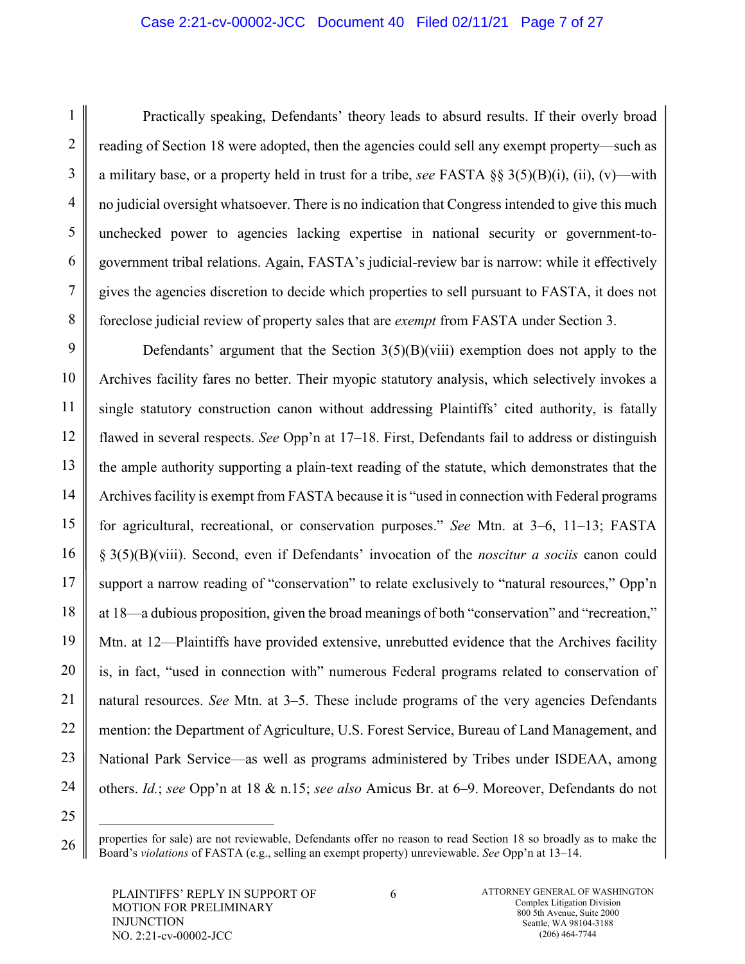#### Case 2:21-cv-00002-JCC Document 40 Filed 02/11/21 Page 7 of 27

Practically speaking, Defendants' theory leads to absurd results. If their overly broad reading of Section 18 were adopted, then the agencies could sell any exempt property—such as a military base, or a property held in trust for a tribe, *see* FASTA §§ 3(5)(B)(i), (ii), (v)—with no judicial oversight whatsoever. There is no indication that Congress intended to give this much unchecked power to agencies lacking expertise in national security or government-togovernment tribal relations. Again, FASTA's judicial-review bar is narrow: while it effectively gives the agencies discretion to decide which properties to sell pursuant to FASTA, it does not foreclose judicial review of property sales that are *exempt* from FASTA under Section 3.

Defendants' argument that the Section  $3(5)(B)(viii)$  exemption does not apply to the Archives facility fares no better. Their myopic statutory analysis, which selectively invokes a single statutory construction canon without addressing Plaintiffs' cited authority, is fatally flawed in several respects. *See* Opp'n at 17–18. First, Defendants fail to address or distinguish the ample authority supporting a plain-text reading of the statute, which demonstrates that the Archives facility is exempt from FASTA because it is "used in connection with Federal programs for agricultural, recreational, or conservation purposes." *See* Mtn. at 3–6, 11–13; FASTA § 3(5)(B)(viii). Second, even if Defendants' invocation of the *noscitur a sociis* canon could support a narrow reading of "conservation" to relate exclusively to "natural resources," Opp'n at 18—a dubious proposition, given the broad meanings of both "conservation" and "recreation," Mtn. at 12—Plaintiffs have provided extensive, unrebutted evidence that the Archives facility is, in fact, "used in connection with" numerous Federal programs related to conservation of natural resources. *See* Mtn. at 3–5. These include programs of the very agencies Defendants mention: the Department of Agriculture, U.S. Forest Service, Bureau of Land Management, and National Park Service—as well as programs administered by Tribes under ISDEAA, among others. *Id.*; *see* Opp'n at 18 & n.15; *see also* Amicus Br. at 6‒9. Moreover, Defendants do not

properties for sale) are not reviewable, Defendants offer no reason to read Section 18 so broadly as to make the Board's *violations* of FASTA (e.g., selling an exempt property) unreviewable. *See* Opp'n at 13–14.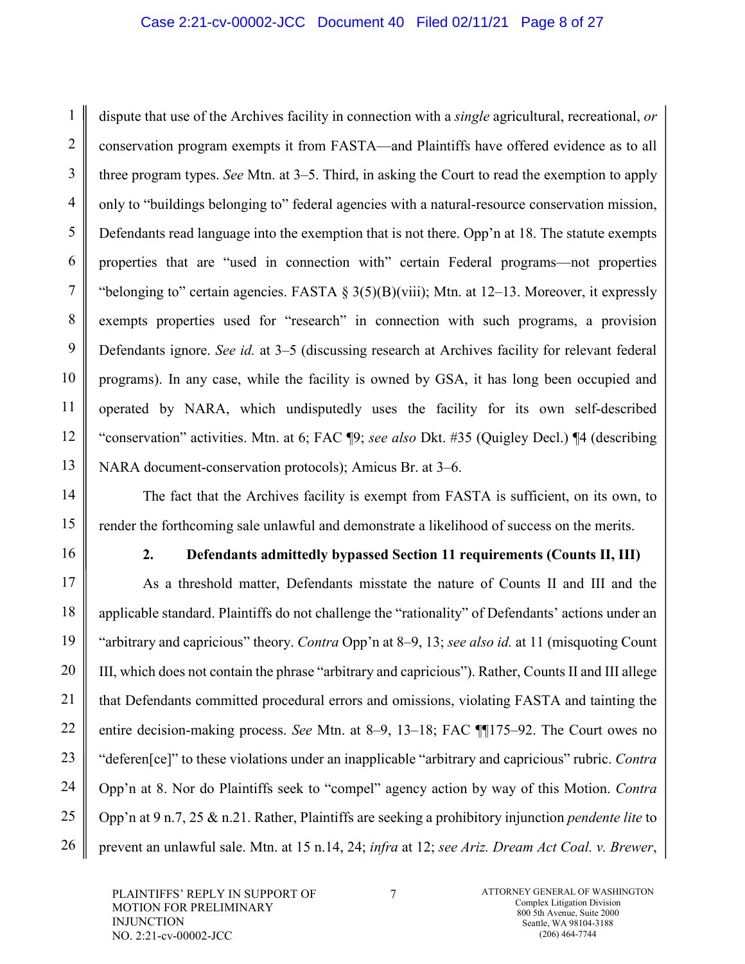#### Case 2:21-cv-00002-JCC Document 40 Filed 02/11/21 Page 8 of 27

dispute that use of the Archives facility in connection with a *single* agricultural, recreational, *or* conservation program exempts it from FASTA—and Plaintiffs have offered evidence as to all three program types. *See* Mtn. at 3–5. Third, in asking the Court to read the exemption to apply only to "buildings belonging to" federal agencies with a natural-resource conservation mission, Defendants read language into the exemption that is not there. Opp'n at 18. The statute exempts properties that are "used in connection with" certain Federal programs—not properties "belonging to" certain agencies. FASTA  $\S 3(5)(B)(viii)$ ; Mtn. at 12–13. Moreover, it expressly exempts properties used for "research" in connection with such programs, a provision Defendants ignore. *See id.* at 3‒5 (discussing research at Archives facility for relevant federal programs). In any case, while the facility is owned by GSA, it has long been occupied and operated by NARA, which undisputedly uses the facility for its own self-described "conservation" activities. Mtn. at 6; FAC ¶9; *see also* Dkt. #35 (Quigley Decl.) ¶4 (describing NARA document-conservation protocols); Amicus Br. at 3–6.

The fact that the Archives facility is exempt from FASTA is sufficient, on its own, to render the forthcoming sale unlawful and demonstrate a likelihood of success on the merits.

1

2

3

4

5

6

7

8

9

10

11

12

13

14

15

16

17

18

19

20

21

22

23

24

25

26

#### **2. Defendants admittedly bypassed Section 11 requirements (Counts II, III)**

As a threshold matter, Defendants misstate the nature of Counts II and III and the applicable standard. Plaintiffs do not challenge the "rationality" of Defendants' actions under an "arbitrary and capricious" theory. *Contra* Opp'n at 8‒9, 13; *see also id.* at 11 (misquoting Count III, which does not contain the phrase "arbitrary and capricious"). Rather, Counts II and III allege that Defendants committed procedural errors and omissions, violating FASTA and tainting the entire decision-making process. *See* Mtn. at 8–9, 13–18; FAC ¶[175–92. The Court owes no "deferen[ce]" to these violations under an inapplicable "arbitrary and capricious" rubric. *Contra* Opp'n at 8. Nor do Plaintiffs seek to "compel" agency action by way of this Motion. *Contra* Opp'n at 9 n.7, 25 & n.21. Rather, Plaintiffs are seeking a prohibitory injunction *pendente lite* to prevent an unlawful sale. Mtn. at 15 n.14, 24; *infra* at 12; *see Ariz. Dream Act Coal. v. Brewer*,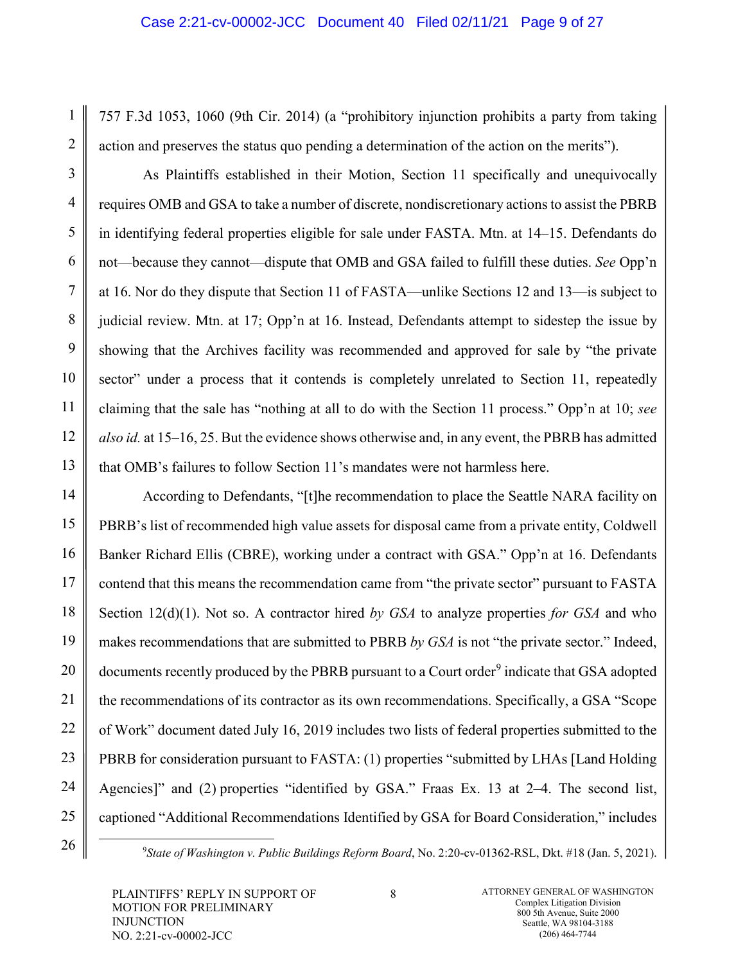757 F.3d 1053, 1060 (9th Cir. 2014) (a "prohibitory injunction prohibits a party from taking action and preserves the status quo pending a determination of the action on the merits").

As Plaintiffs established in their Motion, Section 11 specifically and unequivocally requires OMB and GSA to take a number of discrete, nondiscretionary actions to assist the PBRB in identifying federal properties eligible for sale under FASTA. Mtn. at 14–15. Defendants do not—because they cannot—dispute that OMB and GSA failed to fulfill these duties. *See* Opp'n at 16. Nor do they dispute that Section 11 of FASTA—unlike Sections 12 and 13—is subject to judicial review. Mtn. at 17; Opp'n at 16. Instead, Defendants attempt to sidestep the issue by showing that the Archives facility was recommended and approved for sale by "the private sector" under a process that it contends is completely unrelated to Section 11, repeatedly claiming that the sale has "nothing at all to do with the Section 11 process." Opp'n at 10; *see also id.* at 15–16, 25. But the evidence shows otherwise and, in any event, the PBRB has admitted that OMB's failures to follow Section 11's mandates were not harmless here.

According to Defendants, "[t]he recommendation to place the Seattle NARA facility on PBRB's list of recommended high value assets for disposal came from a private entity, Coldwell Banker Richard Ellis (CBRE), working under a contract with GSA." Opp'n at 16. Defendants contend that this means the recommendation came from "the private sector" pursuant to FASTA Section 12(d)(1). Not so. A contractor hired *by GSA* to analyze properties *for GSA* and who makes recommendations that are submitted to PBRB *by GSA* is not "the private sector." Indeed, documents recently produced by the PBRB pursuant to a Court order<sup>[9](#page-8-0)</sup> indicate that GSA adopted the recommendations of its contractor as its own recommendations. Specifically, a GSA "Scope of Work" document dated July 16, 2019 includes two lists of federal properties submitted to the PBRB for consideration pursuant to FASTA: (1) properties "submitted by LHAs [Land Holding Agencies]" and (2) properties "identified by GSA." Fraas Ex. 13 at 2–4. The second list, captioned "Additional Recommendations Identified by GSA for Board Consideration," includes

 $\frac{1}{\sqrt{9}}$ *State of Washington v. Public Buildings Reform Board*, No. 2:20-cv-01362-RSL, Dkt. #18 (Jan. 5, 2021).

1

2

3

4

5

6

7

8

9

10

11

12

13

14

15

16

17

18

19

20

21

22

23

24

<span id="page-8-0"></span>25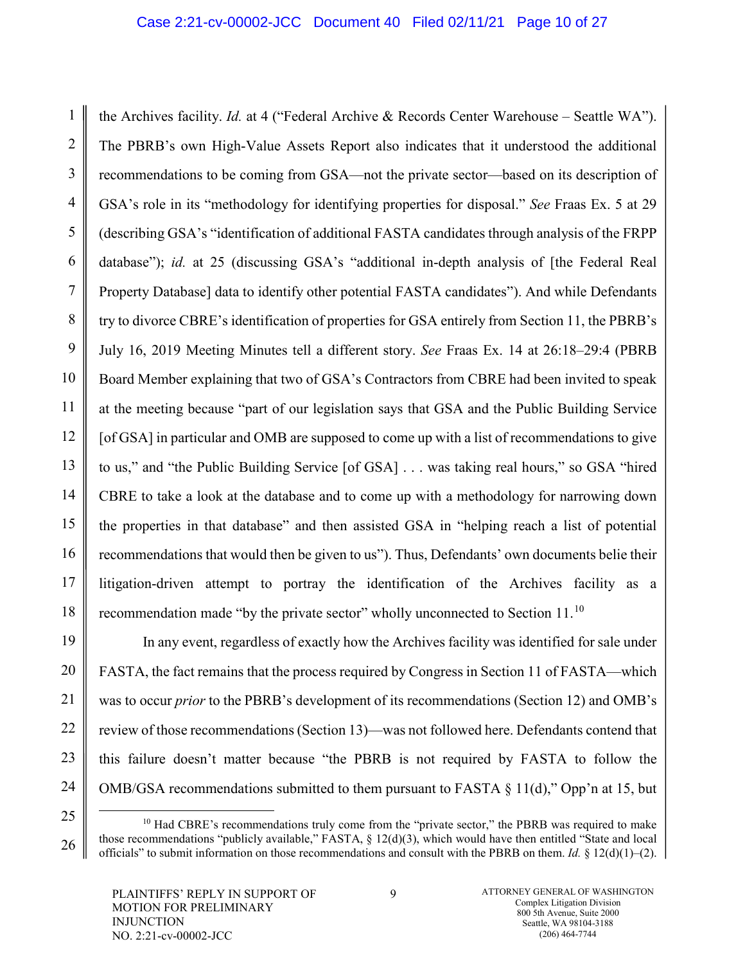1 2 3 4 5 6 7 8 9 10 11 12 13 14 15 16 17 18 the Archives facility. *Id.* at 4 ("Federal Archive & Records Center Warehouse – Seattle WA"). The PBRB's own High-Value Assets Report also indicates that it understood the additional recommendations to be coming from GSA—not the private sector—based on its description of GSA's role in its "methodology for identifying properties for disposal." *See* Fraas Ex. 5 at 29 (describing GSA's "identification of additional FASTA candidates through analysis of the FRPP database"); *id.* at 25 (discussing GSA's "additional in-depth analysis of [the Federal Real Property Database] data to identify other potential FASTA candidates"). And while Defendants try to divorce CBRE's identification of properties for GSA entirely from Section 11, the PBRB's July 16, 2019 Meeting Minutes tell a different story. *See* Fraas Ex. 14 at 26:18‒29:4 (PBRB Board Member explaining that two of GSA's Contractors from CBRE had been invited to speak at the meeting because "part of our legislation says that GSA and the Public Building Service [of GSA] in particular and OMB are supposed to come up with a list of recommendations to give to us," and "the Public Building Service [of GSA] . . . was taking real hours," so GSA "hired CBRE to take a look at the database and to come up with a methodology for narrowing down the properties in that database" and then assisted GSA in "helping reach a list of potential recommendations that would then be given to us"). Thus, Defendants' own documents belie their litigation-driven attempt to portray the identification of the Archives facility as a recommendation made "by the private sector" wholly unconnected to Section 11.<sup>[10](#page-9-0)</sup>

In any event, regardless of exactly how the Archives facility was identified for sale under FASTA, the fact remains that the process required by Congress in Section 11 of FASTA—which was to occur *prior* to the PBRB's development of its recommendations (Section 12) and OMB's review of those recommendations (Section 13)—was not followed here. Defendants contend that this failure doesn't matter because "the PBRB is not required by FASTA to follow the OMB/GSA recommendations submitted to them pursuant to FASTA  $\S 11(d)$ ," Opp'n at 15, but

19

20

21

22

23

<span id="page-9-0"></span><sup>25</sup> 26

 $10$  Had CBRE's recommendations truly come from the "private sector," the PBRB was required to make those recommendations "publicly available," FASTA, § 12(d)(3), which would have then entitled "State and local officials" to submit information on those recommendations and consult with the PBRB on them. *Id.*  $\S 12(d)(1)-(2)$ .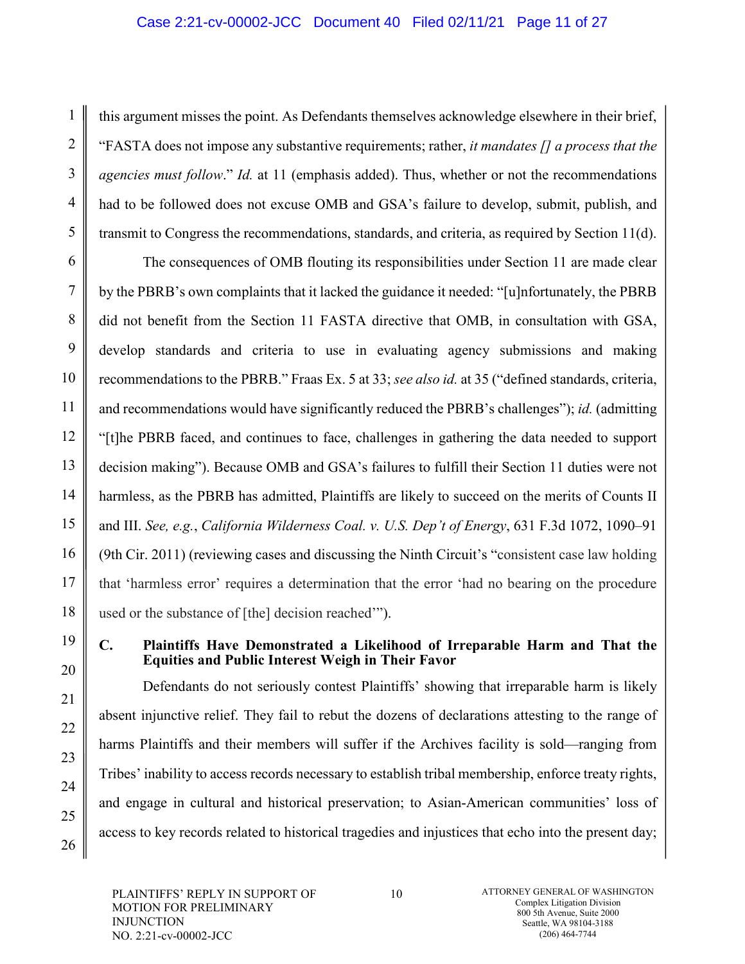#### Case 2:21-cv-00002-JCC Document 40 Filed 02/11/21 Page 11 of 27

this argument misses the point. As Defendants themselves acknowledge elsewhere in their brief, "FASTA does not impose any substantive requirements; rather, *it mandates [] a process that the agencies must follow*." *Id.* at 11 (emphasis added). Thus, whether or not the recommendations had to be followed does not excuse OMB and GSA's failure to develop, submit, publish, and transmit to Congress the recommendations, standards, and criteria, as required by Section 11(d).

The consequences of OMB flouting its responsibilities under Section 11 are made clear by the PBRB's own complaints that it lacked the guidance it needed: "[u]nfortunately, the PBRB did not benefit from the Section 11 FASTA directive that OMB, in consultation with GSA, develop standards and criteria to use in evaluating agency submissions and making recommendations to the PBRB." Fraas Ex. 5 at 33; *see also id.* at 35 ("defined standards, criteria, and recommendations would have significantly reduced the PBRB's challenges"); *id.* (admitting "[t]he PBRB faced, and continues to face, challenges in gathering the data needed to support decision making"). Because OMB and GSA's failures to fulfill their Section 11 duties were not harmless, as the PBRB has admitted, Plaintiffs are likely to succeed on the merits of Counts II and III. *See, e.g.*, *California Wilderness Coal. v. U.S. Dep't of Energy*, 631 F.3d 1072, 1090‒91 (9th Cir. 2011) (reviewing cases and discussing the Ninth Circuit's "consistent case law holding that 'harmless error' requires a determination that the error 'had no bearing on the procedure used or the substance of [the] decision reached'").

19 20

21

22

23

24

25

26

1

2

3

4

5

6

7

8

9

10

11

12

13

14

15

16

17

18

### **C. Plaintiffs Have Demonstrated a Likelihood of Irreparable Harm and That the Equities and Public Interest Weigh in Their Favor**

Defendants do not seriously contest Plaintiffs' showing that irreparable harm is likely absent injunctive relief. They fail to rebut the dozens of declarations attesting to the range of harms Plaintiffs and their members will suffer if the Archives facility is sold—ranging from Tribes' inability to access records necessary to establish tribal membership, enforce treaty rights, and engage in cultural and historical preservation; to Asian-American communities' loss of access to key records related to historical tragedies and injustices that echo into the present day;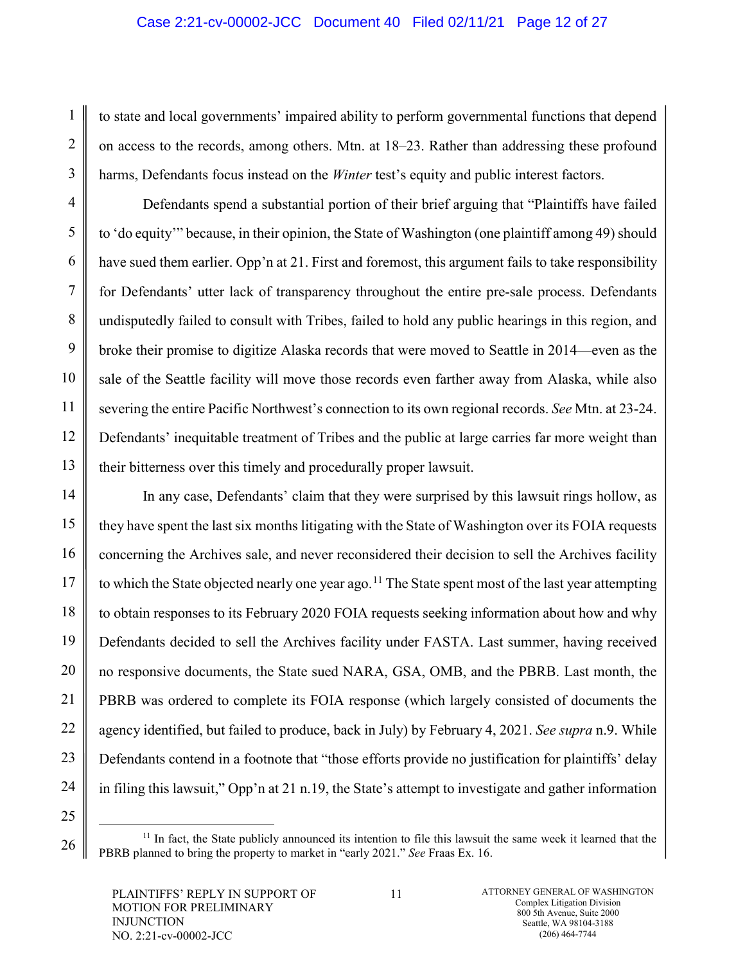### Case 2:21-cv-00002-JCC Document 40 Filed 02/11/21 Page 12 of 27

to state and local governments' impaired ability to perform governmental functions that depend on access to the records, among others. Mtn. at 18–23. Rather than addressing these profound harms, Defendants focus instead on the *Winter* test's equity and public interest factors.

Defendants spend a substantial portion of their brief arguing that "Plaintiffs have failed to 'do equity'" because, in their opinion, the State of Washington (one plaintiff among 49) should have sued them earlier. Opp'n at 21. First and foremost, this argument fails to take responsibility for Defendants' utter lack of transparency throughout the entire pre-sale process. Defendants undisputedly failed to consult with Tribes, failed to hold any public hearings in this region, and broke their promise to digitize Alaska records that were moved to Seattle in 2014—even as the sale of the Seattle facility will move those records even farther away from Alaska, while also severing the entire Pacific Northwest's connection to its own regional records. *See* Mtn. at 23-24. Defendants' inequitable treatment of Tribes and the public at large carries far more weight than their bitterness over this timely and procedurally proper lawsuit.

In any case, Defendants' claim that they were surprised by this lawsuit rings hollow, as they have spent the last six months litigating with the State of Washington over its FOIA requests concerning the Archives sale, and never reconsidered their decision to sell the Archives facility to which the State objected nearly one year ago.<sup>[11](#page-11-0)</sup> The State spent most of the last year attempting to obtain responses to its February 2020 FOIA requests seeking information about how and why Defendants decided to sell the Archives facility under FASTA. Last summer, having received no responsive documents, the State sued NARA, GSA, OMB, and the PBRB. Last month, the PBRB was ordered to complete its FOIA response (which largely consisted of documents the agency identified, but failed to produce, back in July) by February 4, 2021. *See supra* n.9. While Defendants contend in a footnote that "those efforts provide no justification for plaintiffs' delay in filing this lawsuit," Opp'n at 21 n.19, the State's attempt to investigate and gather information

1

2

3

4

5

6

7

8

9

10

11

12

13

14

15

16

17

18

19

20

21

22

23

<span id="page-11-0"></span><sup>25</sup> 26

<sup>&</sup>lt;sup>11</sup> In fact, the State publicly announced its intention to file this lawsuit the same week it learned that the PBRB planned to bring the property to market in "early 2021." *See* Fraas Ex. 16.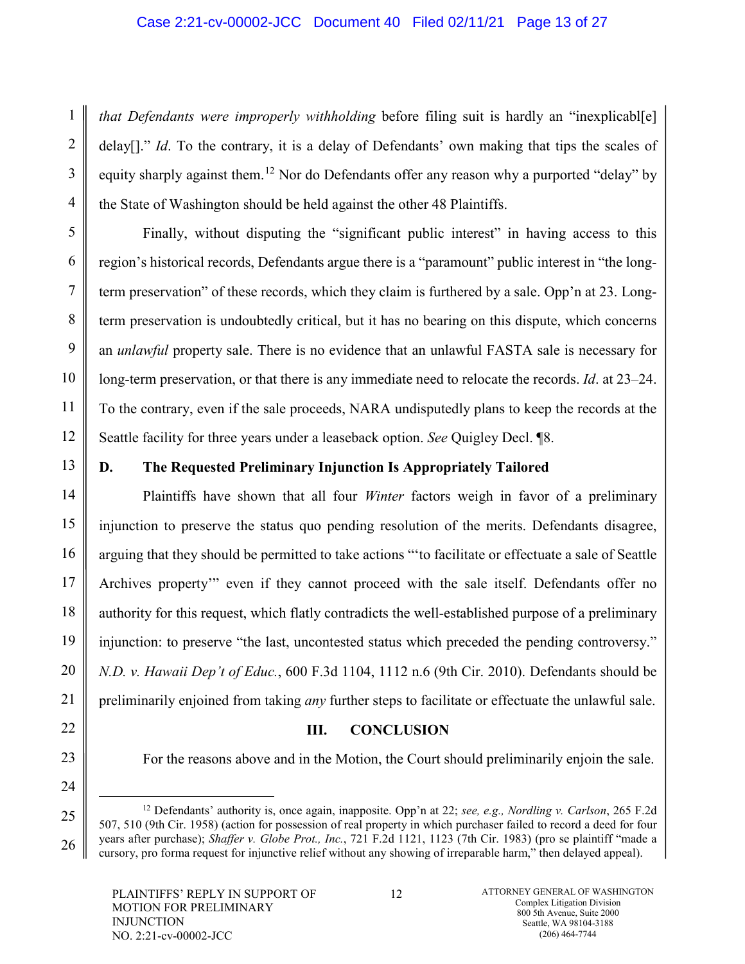#### Case 2:21-cv-00002-JCC Document 40 Filed 02/11/21 Page 13 of 27

*that Defendants were improperly withholding* before filing suit is hardly an "inexplicabl[e] delay[]." *Id*. To the contrary, it is a delay of Defendants' own making that tips the scales of equity sharply against them.<sup>[12](#page-12-0)</sup> Nor do Defendants offer any reason why a purported "delay" by the State of Washington should be held against the other 48 Plaintiffs.

Finally, without disputing the "significant public interest" in having access to this region's historical records, Defendants argue there is a "paramount" public interest in "the longterm preservation" of these records, which they claim is furthered by a sale. Opp'n at 23. Longterm preservation is undoubtedly critical, but it has no bearing on this dispute, which concerns an *unlawful* property sale. There is no evidence that an unlawful FASTA sale is necessary for long-term preservation, or that there is any immediate need to relocate the records. *Id.* at 23–24. To the contrary, even if the sale proceeds, NARA undisputedly plans to keep the records at the Seattle facility for three years under a leaseback option. *See* Quigley Decl. ¶8.

13

1

2

3

4

5

6

7

8

9

10

11

12

14

15

16

17

18

19

20

21

22

23

24

<span id="page-12-0"></span>25

26

## **D. The Requested Preliminary Injunction Is Appropriately Tailored**

Plaintiffs have shown that all four *Winter* factors weigh in favor of a preliminary injunction to preserve the status quo pending resolution of the merits. Defendants disagree, arguing that they should be permitted to take actions "'to facilitate or effectuate a sale of Seattle Archives property'" even if they cannot proceed with the sale itself. Defendants offer no authority for this request, which flatly contradicts the well-established purpose of a preliminary injunction: to preserve "the last, uncontested status which preceded the pending controversy." *N.D. v. Hawaii Dep't of Educ.*, 600 F.3d 1104, 1112 n.6 (9th Cir. 2010). Defendants should be preliminarily enjoined from taking *any* further steps to facilitate or effectuate the unlawful sale.

#### **III. CONCLUSION**

For the reasons above and in the Motion, the Court should preliminarily enjoin the sale.

PLAINTIFFS' REPLY IN SUPPORT OF MOTION FOR PRELIMINARY INJUNCTION NO. 2:21-cv-00002-JCC

 <sup>12</sup> Defendants' authority is, once again, inapposite. Opp'n at 22; *see, e.g., Nordling v. Carlson*, 265 F.2d 507, 510 (9th Cir. 1958) (action for possession of real property in which purchaser failed to record a deed for four years after purchase); *Shaffer v. Globe Prot., Inc.*, 721 F.2d 1121, 1123 (7th Cir. 1983) (pro se plaintiff "made a cursory, pro forma request for injunctive relief without any showing of irreparable harm," then delayed appeal).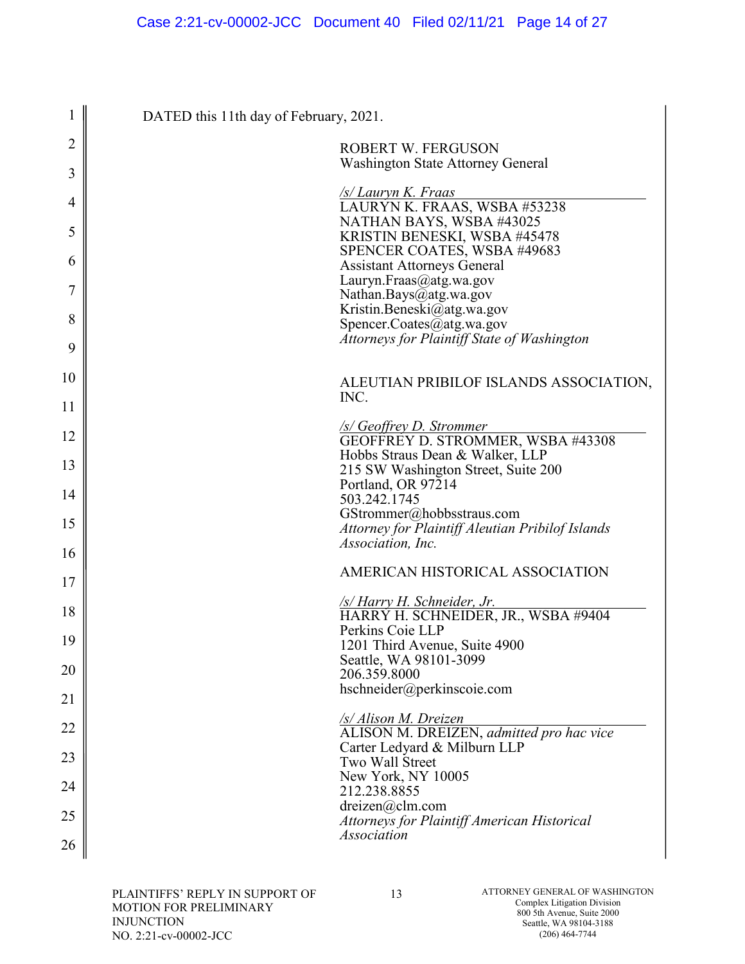| 1  | DATED this 11th day of February, 2021.                                          |
|----|---------------------------------------------------------------------------------|
| 2  | <b>ROBERT W. FERGUSON</b><br><b>Washington State Attorney General</b>           |
| 3  | /s/ Lauryn K. Fraas                                                             |
| 4  | LAURÝN K. FRAAS, WSBA #53238<br>NATHAN BAYS, WSBA #43025                        |
| 5  | KRISTIN BENESKI, WSBA #45478<br>SPENCER COATES, WSBA #49683                     |
| 6  | <b>Assistant Attorneys General</b>                                              |
| 7  | Lauryn.Fraas@atg.wa.gov<br>Nathan.Bays@atg.wa.gov                               |
|    | Kristin.Beneski@atg.wa.gov                                                      |
| 8  | Spencer.Coates@atg.wa.gov<br><b>Attorneys for Plaintiff State of Washington</b> |
| 9  |                                                                                 |
| 10 | ALEUTIAN PRIBILOF ISLANDS ASSOCIATION,                                          |
| 11 | INC.                                                                            |
| 12 | <b>SS Geoffrey D. Strommer</b><br>GEOFFREY D. STROMMER, WSBA #43308             |
| 13 | Hobbs Straus Dean & Walker, LLP<br>215 SW Washington Street, Suite 200          |
| 14 | Portland, OR 97214<br>503.242.1745                                              |
| 15 | GStrommer@hobbsstraus.com                                                       |
|    | Attorney for Plaintiff Aleutian Pribilof Islands<br>Association, Inc.           |
| 16 |                                                                                 |
| 17 | AMERICAN HISTORICAL ASSOCIATION                                                 |
| 18 | <u>/s/Harry H. Schneider, Jr.</u><br>HARRY H. SCHNEIDER, JR., WSBA #9404        |
| 19 | Perkins Coie LLP<br>1201 Third Avenue, Suite 4900                               |
| 20 | Seattle, WA 98101-3099<br>206.359.8000                                          |
| 21 | hschneider@perkinscoie.com                                                      |
| 22 | /s/ Alison M. Dreizen<br>ALISON M. DREIZEN, admitted pro hac vice               |
| 23 | Carter Ledyard & Milburn LLP<br>Two Wall Street                                 |
| 24 | New York, NY 10005                                                              |
| 25 | 212.238.8855<br>$d$ reizen $(a)$ clm.com                                        |
|    | <b>Attorneys for Plaintiff American Historical</b><br><i>Association</i>        |
| 26 |                                                                                 |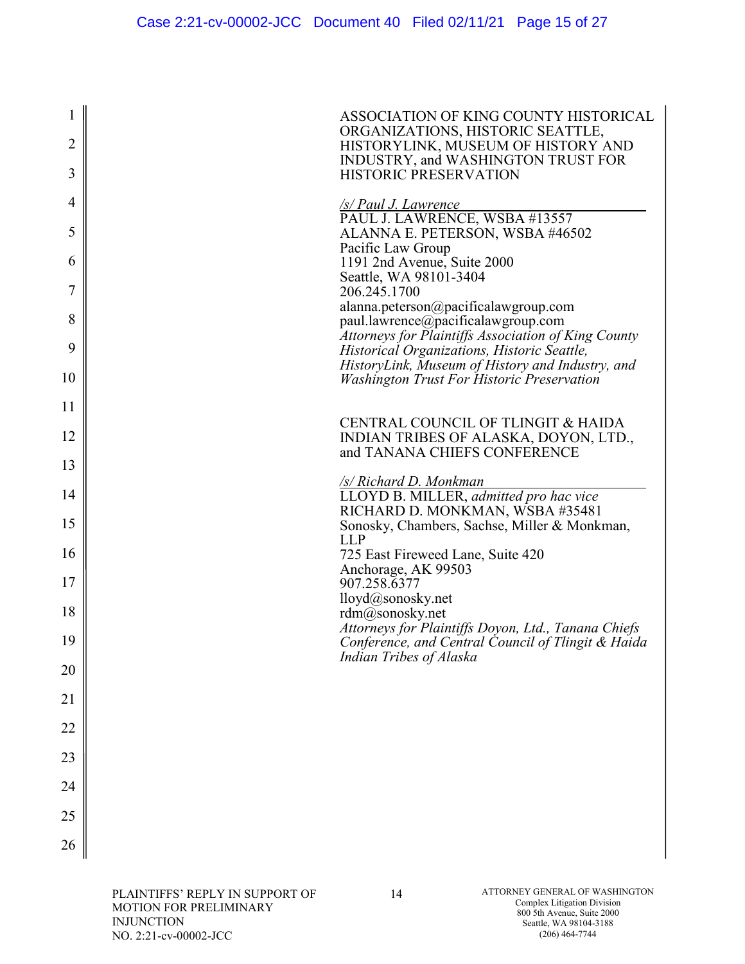| 1              | ASSOCIATION OF KING COUNTY HISTORICAL                                                                     |
|----------------|-----------------------------------------------------------------------------------------------------------|
| $\overline{2}$ | ORGANIZATIONS, HISTORIC SEATTLE,                                                                          |
|                | HISTORYLINK, MUSEUM OF HISTORY AND<br>INDUSTRY, and WASHINGTON TRUST FOR                                  |
| 3              | <b>HISTORIC PRESERVATION</b>                                                                              |
| $\overline{4}$ | <u>/s/ Paul J. Lawrence</u><br>PAUL J. LAWRENCE, WSBA #13557                                              |
| 5              | ALANNA E. PETERSON, WSBA #46502                                                                           |
| 6              | Pacific Law Group<br>1191 2nd Avenue, Suite 2000                                                          |
| 7              | Seattle, WA 98101-3404<br>206.245.1700                                                                    |
| 8              | alanna.peterson@pacificalawgroup.com                                                                      |
|                | paul.lawrence@pacificalawgroup.com<br>Attorneys for Plaintiffs Association of King County                 |
| 9              | Historical Organizations, Historic Seattle,<br>HistoryLink, Museum of History and Industry, and           |
| 10             | <b>Washington Trust For Historic Preservation</b>                                                         |
| 11             |                                                                                                           |
| 12             | CENTRAL COUNCIL OF TLINGIT & HAIDA<br>INDIAN TRIBES OF ALASKA, DOYON, LTD.,                               |
| 13             | and TANANA CHIEFS CONFERENCE                                                                              |
| 14             | <u>/s/ Richard D. Monkman</u><br>LLOYD B. MILLER, admitted pro hac vice                                   |
| 15             | RICHARD D. MONKMAN, WSBA #35481<br>Sonosky, Chambers, Sachse, Miller & Monkman,                           |
|                | <b>LLP</b>                                                                                                |
| 16             | 725 East Fireweed Lane, Suite 420<br>Anchorage, AK 99503                                                  |
| 17             | 907.258.6377<br>lloyd@sonosky.net                                                                         |
| 18             | rdm@sonosky.net                                                                                           |
| 19             | Attorneys for Plaintiffs Doyon, Ltd., Tanana Chiefs<br>Conference, and Central Council of Tlingit & Haida |
| 20             | Indian Tribes of Alaska                                                                                   |
| 21             |                                                                                                           |
| 22             |                                                                                                           |
| 23             |                                                                                                           |
|                |                                                                                                           |
| 24             |                                                                                                           |
| 25             |                                                                                                           |
| 26             |                                                                                                           |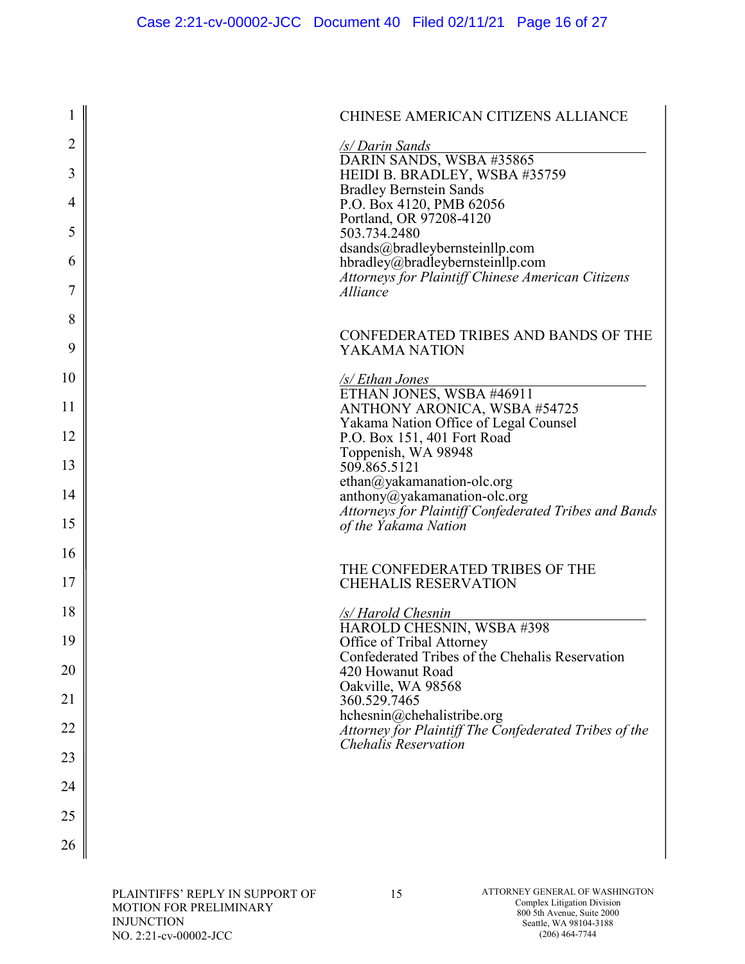|          | CHINESE AMERICAN CITIZENS ALLIANCE                                                    |
|----------|---------------------------------------------------------------------------------------|
| 2<br>3   | /s/ Darin Sands<br>DARIN SANDS, WSBA #35865<br>HEIDI B. BRADLEY, WSBA #35759          |
| 4        | <b>Bradley Bernstein Sands</b><br>P.O. Box 4120, PMB 62056                            |
| 5        | Portland, OR 97208-4120<br>503.734.2480                                               |
| 6        | dsands@bradleybernsteinllp.com<br>hbradley@bradleybernsteinllp.com                    |
| 7        | <b>Attorneys for Plaintiff Chinese American Citizens</b><br>Alliance                  |
| 8        | CONFEDERATED TRIBES AND BANDS OF THE                                                  |
| 9        | YAKAMA NATION                                                                         |
| 10       | /s/ Ethan Jones<br>ETHAN JONES, WSBA #46911                                           |
| 11       | ANTHONY ARONICA, WSBA #54725<br>Yakama Nation Office of Legal Counsel                 |
| 12       | P.O. Box 151, 401 Fort Road<br>Toppenish, WA 98948                                    |
| 13       | 509.865.5121<br>ethan@yakamanation-olc.org                                            |
| 14       | anthony@yakamanation-olc.org<br>Attorneys for Plaintiff Confederated Tribes and Bands |
| 15       | of the Yakama Nation                                                                  |
| 16       | THE CONFEDERATED TRIBES OF THE                                                        |
| 17       | <b>CHEHALIS RESERVATION</b>                                                           |
| 18       | /s/ Harold Chesnin<br>HAROLD CHESNIN, WSBA #398                                       |
| 19       | Office of Tribal Attorney<br>Confederated Tribes of the Chehalis Reservation          |
| 20       | 420 Howanut Road<br>Oakville, WA 98568                                                |
| 21       | 360.529.7465<br>hchesnin@chehalistribe.org                                            |
| 22       | Attorney for Plaintiff The Confederated Tribes of the<br><b>Chehalis Reservation</b>  |
| 23       |                                                                                       |
| 24<br>25 |                                                                                       |
| 26       |                                                                                       |
|          |                                                                                       |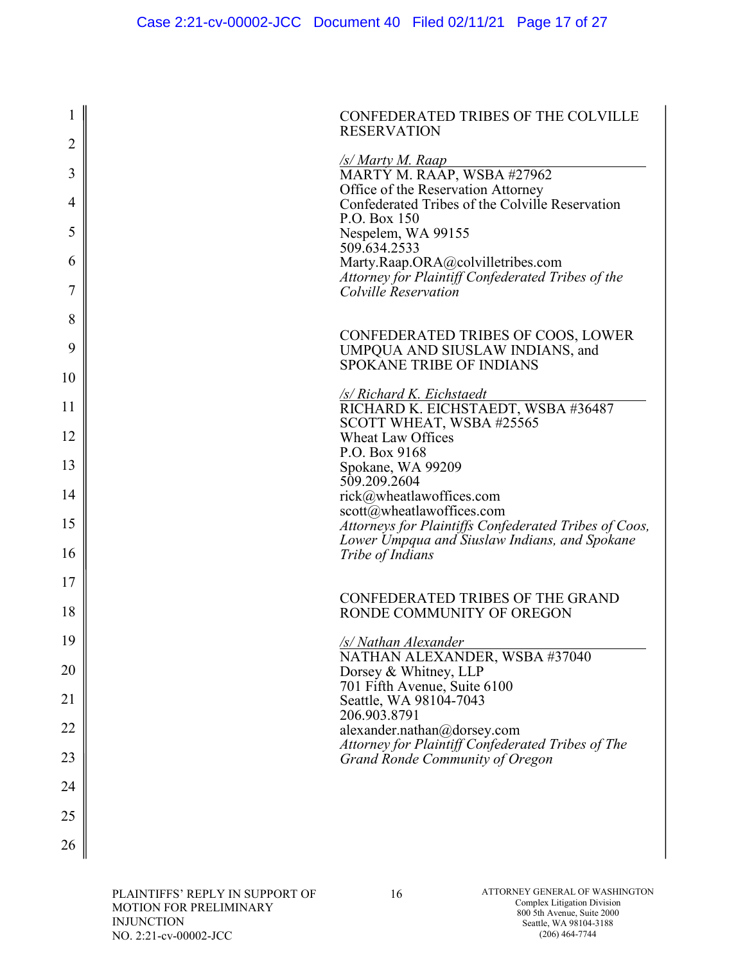| 1              | CONFEDERATED TRIBES OF THE COLVILLE<br><b>RESERVATION</b>                                                |
|----------------|----------------------------------------------------------------------------------------------------------|
| $\overline{2}$ |                                                                                                          |
| 3              | /s/ Marty M. Raap<br>MARTY M. RAAP, WSBA #27962<br>Office of the Reservation Attorney                    |
| 4              | Confederated Tribes of the Colville Reservation<br>P.O. Box 150                                          |
| 5<br>6         | Nespelem, WA 99155<br>509.634.2533<br>Marty.Raap.ORA@colvilletribes.com                                  |
| 7              | Attorney for Plaintiff Confederated Tribes of the<br>Colville Reservation                                |
| 8              |                                                                                                          |
| 9              | CONFEDERATED TRIBES OF COOS, LOWER<br>UMPQUA AND SIUSLAW INDIANS, and<br><b>SPOKANE TRIBE OF INDIANS</b> |
| 10             |                                                                                                          |
| 11             | /s/ Richard K. Eichstaedt<br>RICHARD K. EICHSTAEDT, WSBA #36487<br>SCOTT WHEAT, WSBA #25565              |
| 12             | <b>Wheat Law Offices</b>                                                                                 |
| 13             | P.O. Box 9168<br>Spokane, WA 99209<br>509.209.2604                                                       |
| 14             | rick@wheatlawoffices.com                                                                                 |
| 15             | scott@wheatlawoffices.com<br>Attorneys for Plaintiffs Confederated Tribes of Coos,                       |
| 16             | Lower Umpqua and Siuslaw Indians, and Spokane<br>Tribe of Indians                                        |
| 17             |                                                                                                          |
| 18             | <b>CONFEDERATED TRIBES OF THE GRAND</b><br>RONDE COMMUNITY OF OREGON                                     |
| 19             | <u>/s/Nathan Alexander</u>                                                                               |
| 20             | NATHAN ALEXANDER, WSBA #37040<br>Dorsey & Whitney, LLP<br>701 Fifth Avenue, Suite 6100                   |
| 21             | Seattle, WA 98104-7043                                                                                   |
| 22             | 206.903.8791<br>alexander.nathan@dorsey.com                                                              |
| 23             | Attorney for Plaintiff Confederated Tribes of The<br>Grand Ronde Community of Oregon                     |
| 24             |                                                                                                          |
| 25             |                                                                                                          |
| 26             |                                                                                                          |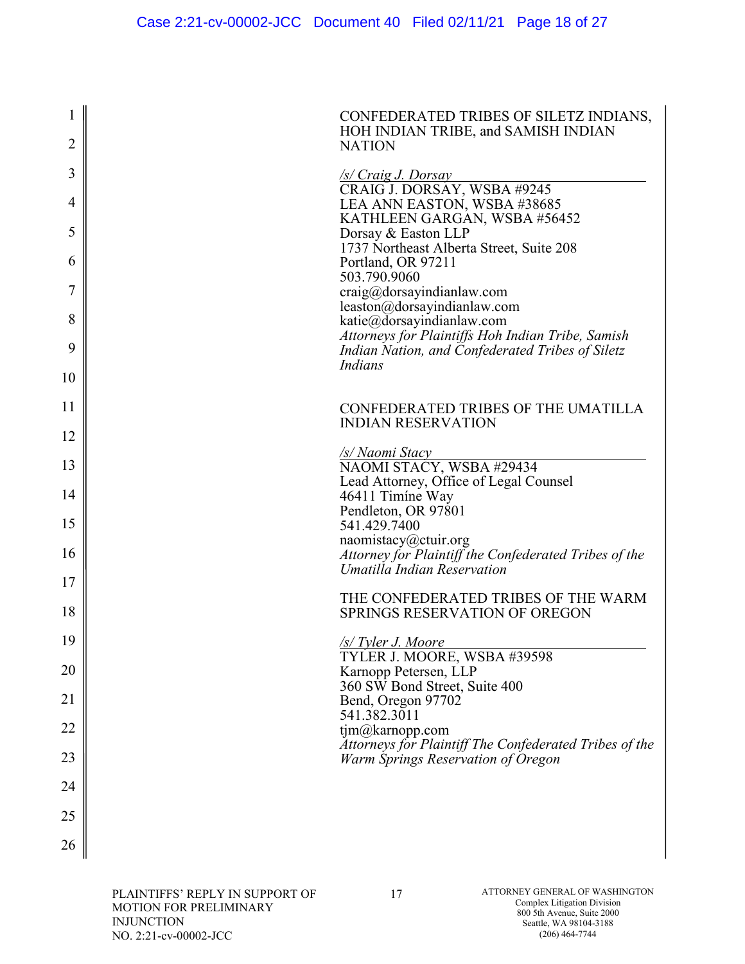| $\mathbf 1$    | CONFEDERATED TRIBES OF SILETZ INDIANS,<br>HOH INDIAN TRIBE, and SAMISH INDIAN                         |
|----------------|-------------------------------------------------------------------------------------------------------|
| $\overline{2}$ | <b>NATION</b>                                                                                         |
| 3              | S / Craig J. Dorsay<br>CRAIG J. DORSAY, WSBA #9245                                                    |
| 4              | LEA ANN EASTON, WSBA #38685                                                                           |
| 5              | KATHLEEN GARGAN, WSBA #56452<br>Dorsay & Easton LLP                                                   |
| 6              | 1737 Northeast Alberta Street, Suite 208<br>Portland, OR 97211                                        |
| 7              | 503.790.9060<br>craig@dorsayindianlaw.com                                                             |
| 8              | leaston@dorsayindianlaw.com<br>katie@dorsayindianlaw.com                                              |
| 9              | Attorneys for Plaintiffs Hoh Indian Tribe, Samish<br>Indian Nation, and Confederated Tribes of Siletz |
| 10             | <b>Indians</b>                                                                                        |
|                |                                                                                                       |
| 11             | CONFEDERATED TRIBES OF THE UMATILLA<br><b>INDIAN RESERVATION</b>                                      |
| 12             | <b>/s/ Naomi Stacy</b>                                                                                |
| 13             | NAOMI STACY, WSBA #29434<br>Lead Attorney, Office of Legal Counsel                                    |
| 14             | 46411 Timíne Way<br>Pendleton, OR 97801                                                               |
| 15             | 541.429.7400                                                                                          |
| 16             | naomistacy@ctuir.org<br>Attorney for Plaintiff the Confederated Tribes of the                         |
| 17             | Umatilla Indian Reservation                                                                           |
| 18             | THE CONFEDERATED TRIBES OF THE WARM<br><b>SPRINGS RESERVATION OF OREGON</b>                           |
| 19             | <u>/s/ Tyler J. Moore</u>                                                                             |
| 20             | TYLER J. MOORE, WSBA #39598<br>Karnopp Petersen, LLP                                                  |
| 21             | 360 SW Bond Street, Suite 400<br>Bend, Oregon 97702                                                   |
| 22             | 541.382.3011<br>tjm@karnopp.com                                                                       |
| 23             | Attorneys for Plaintiff The Confederated Tribes of the<br>Warm Springs Reservation of Oregon          |
| 24             |                                                                                                       |
| 25             |                                                                                                       |
| 26             |                                                                                                       |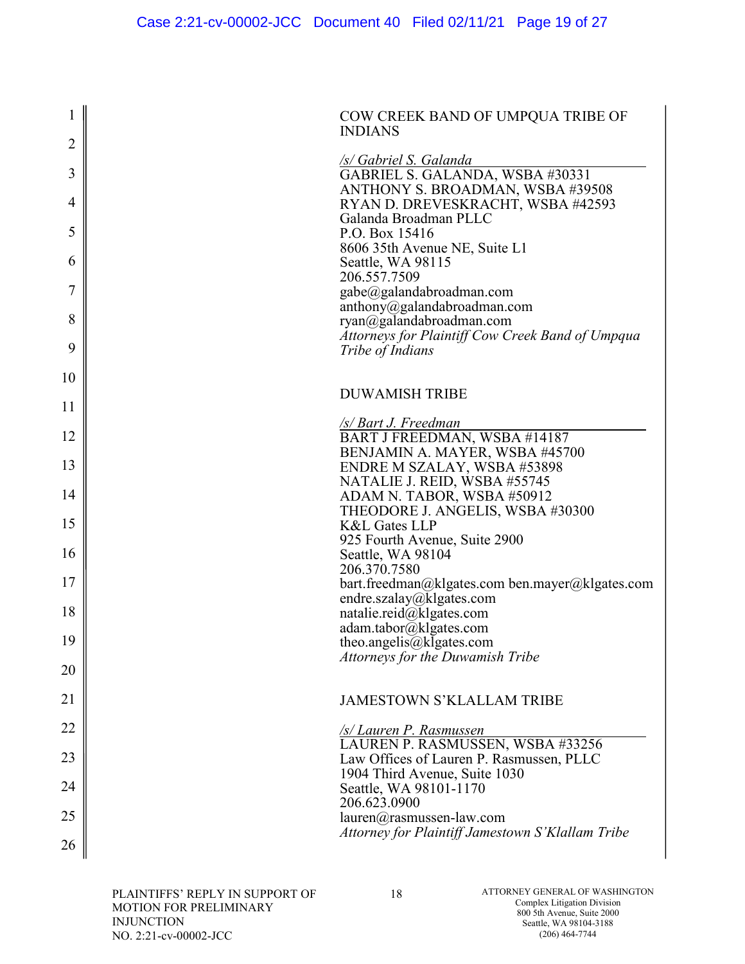| 1                     | COW CREEK BAND OF UMPQUA TRIBE OF<br><b>INDIANS</b>              |
|-----------------------|------------------------------------------------------------------|
| $\overline{2}$        |                                                                  |
| 3                     | /s/ Gabriel S. Galanda<br>GABRIEL S. GALANDA, WSBA #30331        |
|                       | ANTHONY S. BROADMAN, WSBA #39508                                 |
| 4                     | RYAN D. DREVESKRACHT, WSBA #42593<br>Galanda Broadman PLLC       |
| 5                     | P.O. Box 15416                                                   |
|                       | 8606 35th Avenue NE, Suite L1                                    |
| $\boldsymbol{\theta}$ | Seattle, WA 98115<br>206.557.7509                                |
| 7                     | gabe@galandabroadman.com                                         |
| 8                     | anthony@galandabroadman.com<br>ryan@galandabroadman.com          |
|                       | Attorneys for Plaintiff Cow Creek Band of Umpqua                 |
| 9                     | <i>Tribe of Indians</i>                                          |
| 10                    |                                                                  |
| 11                    | <b>DUWAMISH TRIBE</b>                                            |
|                       | <u>/s/ Bart J. Freedman</u>                                      |
| 12                    | BART J FREEDMAN, WSBA #14187                                     |
| 13                    | BENJAMIN A. MAYER, WSBA #45700<br>ENDRE M SZALAY, WSBA #53898    |
|                       | NATALIE J. REID, WSBA #55745                                     |
| 14                    | ADAM N. TABOR, WSBA #50912<br>THEODORE J. ANGELIS, WSBA #30300   |
| 15                    | <b>K&amp;L Gates LLP</b>                                         |
| 16                    | 925 Fourth Avenue, Suite 2900                                    |
|                       | Seattle, WA 98104<br>206.370.7580                                |
| 17                    | bart.freedman@klgates.com ben.mayer@klgates.com                  |
| 18                    | endre.szalay@klgates.com<br>natalie.reid@klgates.com             |
|                       | adam.tabor@klgates.com                                           |
| 19                    | theo.angelis@klgates.com                                         |
| 20                    | Attorneys for the Duwamish Tribe                                 |
|                       |                                                                  |
| 21                    | <b>JAMESTOWN S'KLALLAM TRIBE</b>                                 |
| 22                    | <b>S/Lauren P. Rasmussen</b><br>LAUREN P. RASMUSSEN, WSBA #33256 |
| 23                    | Law Offices of Lauren P. Rasmussen, PLLC                         |
|                       | 1904 Third Avenue, Suite 1030                                    |
| 24                    | Seattle, WA 98101-1170<br>206.623.0900                           |
| 25                    | lauren@rasmussen-law.com                                         |
| 26                    | Attorney for Plaintiff Jamestown S'Klallam Tribe                 |
|                       |                                                                  |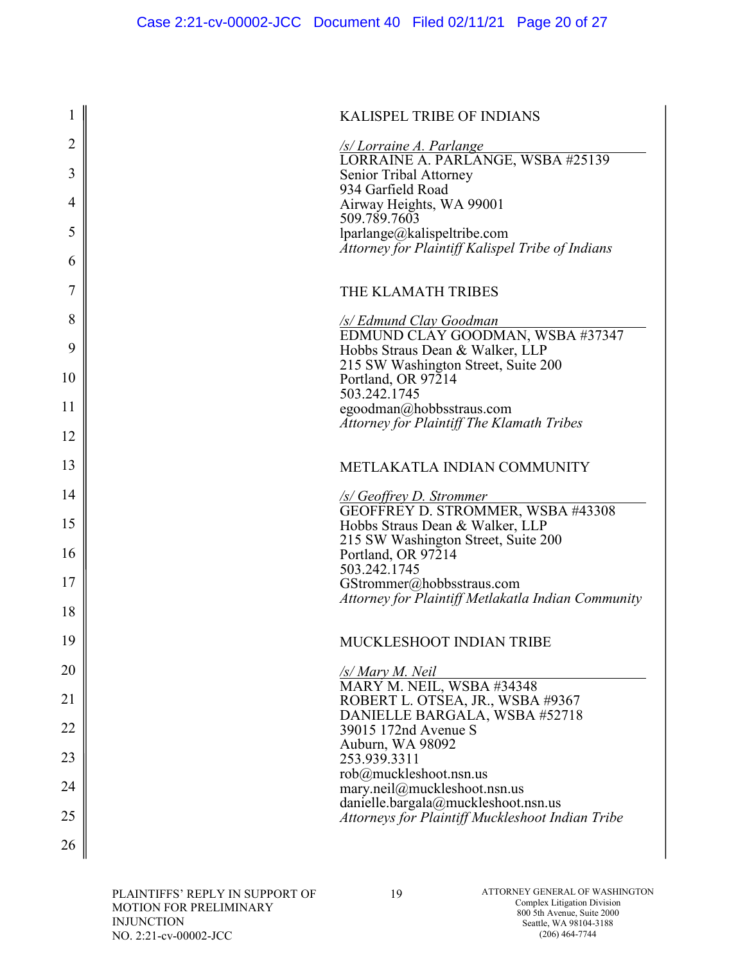|        | <b>KALISPEL TRIBE OF INDIANS</b>                                                             |
|--------|----------------------------------------------------------------------------------------------|
| 2      | <u>/s/ Lorraine A. Parlange</u><br>LORRAINE A. PARLANGE, WSBA #25139                         |
| 3      | Senior Tribal Attorney<br>934 Garfield Road                                                  |
| 4<br>5 | Airway Heights, WA 99001<br>509.789.7603                                                     |
| 6      | lparlange@kalispeltribe.com<br>Attorney for Plaintiff Kalispel Tribe of Indians              |
| 7      | THE KLAMATH TRIBES                                                                           |
| 8      | /s/ Edmund Clay Goodman                                                                      |
| 9      | EDMUND CLAY GOODMAN, WSBA #37347<br>Hobbs Straus Dean & Walker, LLP                          |
| 10     | 215 SW Washington Street, Suite 200<br>Portland, OR 97214                                    |
| 11     | 503.242.1745<br>egoodman@hobbsstraus.com<br><b>Attorney for Plaintiff The Klamath Tribes</b> |
| 12     |                                                                                              |
| 13     | METLAKATLA INDIAN COMMUNITY                                                                  |
| 14     | <u>/s/ Geoffrey D. Strommer</u><br>GEOFFREY D. STROMMER, WSBA #43308                         |
| 15     | Hobbs Straus Dean & Walker, LLP<br>215 SW Washington Street, Suite 200                       |
| 16     | Portland, OR 97214<br>503.242.1745                                                           |
| 17     | GStrommer@hobbsstraus.com<br>Attorney for Plaintiff Metlakatla Indian Community              |
| 18     |                                                                                              |
| 19     | MUCKLESHOOT INDIAN TRIBE                                                                     |
| 20     | /s/ Mary M. Neil<br>MARY M. NEIL, WSBA #34348                                                |
| 21     | ROBERT L. OTSEA, JR., WSBA #9367<br>DANIELLE BARGALA, WSBA #52718                            |
| 22     | 39015 172nd Avenue S<br>Auburn, WA 98092                                                     |
| 23     | 253.939.3311<br>rob@muckleshoot.nsn.us                                                       |
| 24     | mary.neil@muckleshoot.nsn.us<br>danielle.bargala@muckleshoot.nsn.us                          |
| 25     | Attorneys for Plaintiff Muckleshoot Indian Tribe                                             |
| 26     |                                                                                              |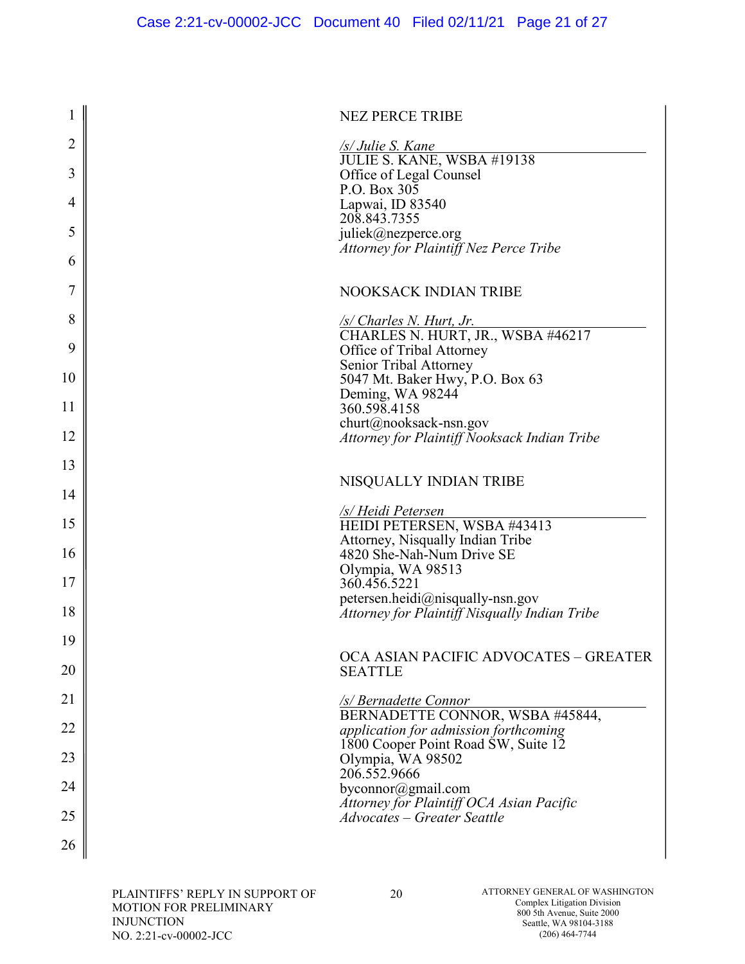| 1              | <b>NEZ PERCE TRIBE</b>                                                         |
|----------------|--------------------------------------------------------------------------------|
| $\overline{2}$ | /s/ Julie S. Kane                                                              |
| 3              | JULIE S. KANE, WSBA #19138<br>Office of Legal Counsel                          |
| $\overline{4}$ | P.O. Box $30\overline{5}$<br>Lapwai, ID 83540                                  |
| 5              | 208.843.7355<br>juliek@nezperce.org                                            |
| 6              | Attorney for Plaintiff Nez Perce Tribe                                         |
| 7              | <b>NOOKSACK INDIAN TRIBE</b>                                                   |
|                |                                                                                |
| 8              | <u>/s/ Charles N. Hurt, Jr.</u><br>CHARLES N. HURT, JR., WSBA #46217           |
| 9              | Office of Tribal Attorney<br>Senior Tribal Attorney                            |
| 10             | 5047 Mt. Baker Hwy, P.O. Box 63                                                |
| 11             | Deming, WA 98244<br>360.598.4158                                               |
| 12             | churt@nooksack-nsn.gov<br>Attorney for Plaintiff Nooksack Indian Tribe         |
| 13             |                                                                                |
| 14             | NISQUALLY INDIAN TRIBE                                                         |
| 15             | /s/ Heidi Petersen<br>HEIDI PETERSEN, WSBA #43413                              |
| 16             | Attorney, Nisqually Indian Tribe<br>4820 She-Nah-Num Drive SE                  |
|                | Olympia, WA 98513                                                              |
| 17             | 360.456.5221<br>petersen.heidi@nisqually-nsn.gov                               |
| 18             | Attorney for Plaintiff Nisqually Indian Tribe                                  |
| 19             |                                                                                |
| 20             | OCA ASIAN PACIFIC ADVOCATES - GREATER<br><b>SEATTLE</b>                        |
| 21             | /s/ Bernadette Connor                                                          |
| 22             | BERNADETTE CONNOR, WSBA #45844,<br>application for admission forthcoming       |
| 23             | 1800 Cooper Point Road SW, Suite 12<br>Olympia, WA 98502<br>206.552.9666       |
| 24             | byconnor@gmail.com                                                             |
| 25             | Attorney for Plaintiff OCA Asian Pacific<br><b>Advocates - Greater Seattle</b> |
| 26             |                                                                                |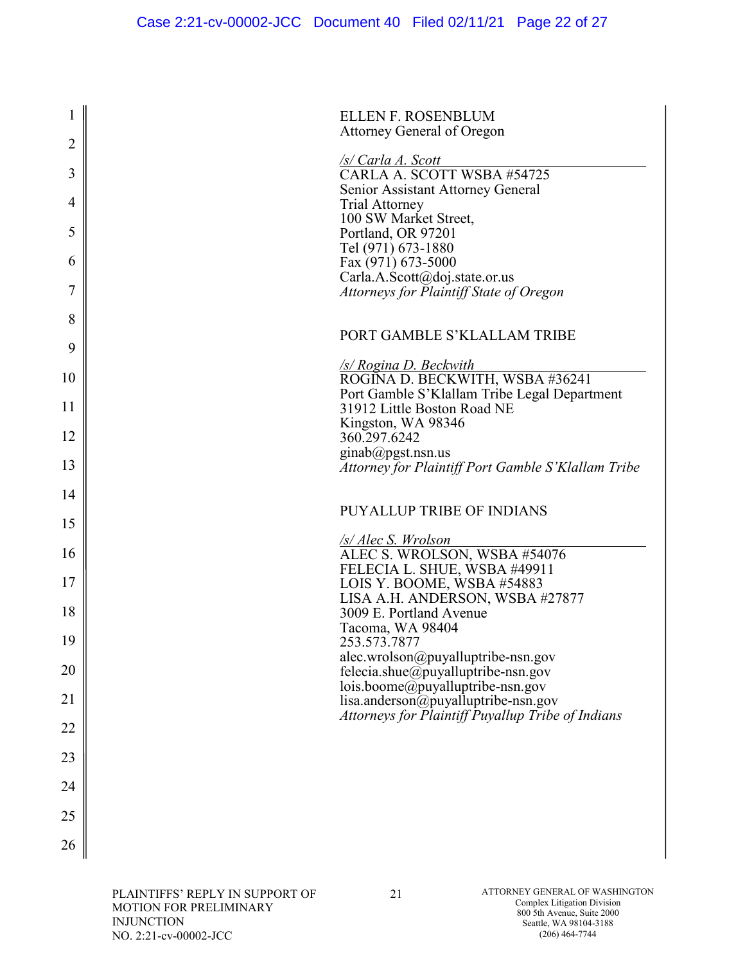| 1              | <b>ELLEN F. ROSENBLUM</b>                                                   |
|----------------|-----------------------------------------------------------------------------|
| $\overline{2}$ | Attorney General of Oregon                                                  |
| 3              | /s/ Carla A. Scott<br>CARLA A. SCOTT WSBA #54725                            |
| 4              | Senior Assistant Attorney General<br><b>Trial Attorney</b>                  |
| 5              | 100 SW Market Street,<br>Portland, OR 97201                                 |
| 6              | Tel (971) 673-1880<br>Fax (971) 673-5000                                    |
| 7              | Carla.A.Scott@doj.state.or.us<br>Attorneys for Plaintiff State of Oregon    |
| 8              |                                                                             |
| 9              | PORT GAMBLE S'KLALLAM TRIBE                                                 |
| 10             | <u>/s/ Rogina D. Beckwith</u><br>ROGĪNA D. BECKWITH, WSBA #36241            |
| 11             | Port Gamble S'Klallam Tribe Legal Department<br>31912 Little Boston Road NE |
| 12             | Kingston, WA 98346<br>360.297.6242                                          |
| 13             | ginab@pgst.nsn.us<br>Attorney for Plaintiff Port Gamble S'Klallam Tribe     |
| 14             |                                                                             |
| 15             | <b>PUYALLUP TRIBE OF INDIANS</b>                                            |
| 16             | <u>/s/ Alec S. Wrolson</u><br>ALEC S. WROLSON, WSBA #54076                  |
| 17             | FELECIA L. SHUE, WSBA #49911<br>LOIS Y. BOOME, WSBA #54883                  |
| 18             | LISA A.H. ANDERSON, WSBA #27877<br>3009 E. Portland Avenue                  |
| 19             | Tacoma, WA 98404<br>253.573.7877                                            |
| 20             | alec.wrolson@puyalluptribe-nsn.gov<br>felecia.shue@puyalluptribe-nsn.gov    |
| 21             | lois.boome@puyalluptribe-nsn.gov<br>lisa.anderson@puyalluptribe-nsn.gov     |
| 22             | Attorneys for Plaintiff Puyallup Tribe of Indians                           |
| 23             |                                                                             |
| 24             |                                                                             |
|                |                                                                             |
| 25             |                                                                             |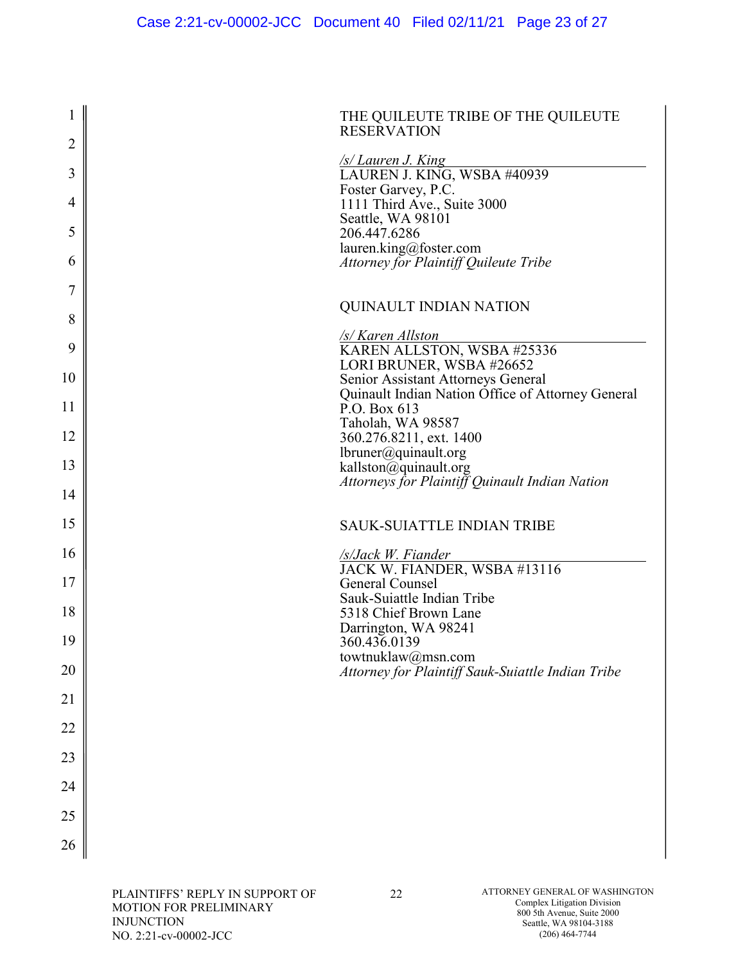| $\mathbf 1$    | THE QUILEUTE TRIBE OF THE QUILEUTE<br><b>RESERVATION</b>               |
|----------------|------------------------------------------------------------------------|
| $\overline{2}$ | <u>/s/ Lauren J. King</u>                                              |
| 3              | LAUREN J. KING, WSBA #40939<br>Foster Garvey, P.C.                     |
| 4              | 1111 Third Ave., Suite 3000                                            |
| 5              | Seattle, WA 98101<br>206.447.6286                                      |
| 6              | lauren.king@foster.com<br><b>Attorney for Plaintiff Quileute Tribe</b> |
| 7              |                                                                        |
| 8              | <b>QUINAULT INDIAN NATION</b>                                          |
|                | <u>/s/ Karen Allston</u>                                               |
| 9              | KAREN ALLSTON, WSBA #25336<br>LORI BRUNER, WSBA #26652                 |
| 10             | Senior Assistant Attorneys General                                     |
|                | Quinault Indian Nation Office of Attorney General                      |
| 11             | P.O. Box 613<br>Taholah, WA 98587                                      |
| 12             | 360.276.8211, ext. 1400                                                |
|                | lbruner@quinault.org                                                   |
| 13             | kallston@quinault.org                                                  |
| 14             | Attorneys for Plaintiff Quinault Indian Nation                         |
|                |                                                                        |
| 15             | <b>SAUK-SUIATTLE INDIAN TRIBE</b>                                      |
| 16             | <u>/s/Jack W. Fiander</u><br>JACK W. FIANDER, WSBA #13116              |
| 17             | <b>General Counsel</b>                                                 |
| 18             | Sauk-Suiattle Indian Tribe<br>5318 Chief Brown Lane                    |
| 19             | Darrington, WA 98241<br>360.436.0139                                   |
|                | towtnuklaw@msn.com                                                     |
| 20             | Attorney for Plaintiff Sauk-Suiattle Indian Tribe                      |
| 21             |                                                                        |
| 22             |                                                                        |
| 23             |                                                                        |
| 24             |                                                                        |
| 25             |                                                                        |
| 26             |                                                                        |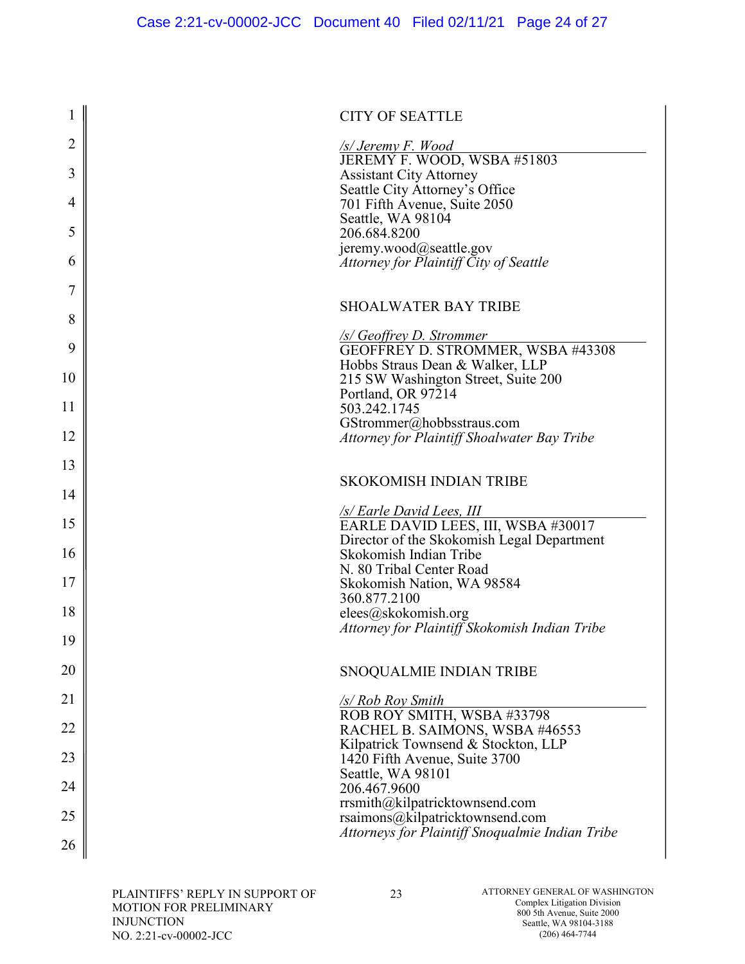| $\mathbf{1}$   | <b>CITY OF SEATTLE</b>                                                 |
|----------------|------------------------------------------------------------------------|
| 2              | <u>/s/ Jeremy F. Wood</u>                                              |
| 3              | JEREMY F. WOOD, WSBA #51803<br><b>Assistant City Attorney</b>          |
|                | Seattle City Attorney's Office                                         |
| $\overline{4}$ | 701 Fifth Avenue, Suite 2050<br>Seattle, WA 98104                      |
| 5              | 206.684.8200                                                           |
|                | jeremy.wood@seattle.gov                                                |
| 6              | Attorney for Plaintiff City of Seattle                                 |
| 7              |                                                                        |
| 8              | <b>SHOALWATER BAY TRIBE</b>                                            |
|                | /s/ Geoffrey D. Strommer                                               |
| 9              | GEOFFREY D. STROMMER, WSBA #43308                                      |
| 10             | Hobbs Straus Dean & Walker, LLP<br>215 SW Washington Street, Suite 200 |
|                | Portland, OR 97214                                                     |
| 11             | 503.242.1745<br>GStrommer@hobbsstraus.com                              |
| 12             | Attorney for Plaintiff Shoalwater Bay Tribe                            |
| 13             |                                                                        |
| 14             | <b>SKOKOMISH INDIAN TRIBE</b>                                          |
| 15             | <u>/s/ Earle David Lees, III</u><br>EARLE DAVID LEES, III, WSBA #30017 |
|                | Director of the Skokomish Legal Department                             |
| 16             | Skokomish Indian Tribe<br>N. 80 Tribal Center Road                     |
| 17             | Skokomish Nation, WA 98584                                             |
|                | 360.877.2100                                                           |
| 18             | elees@skokomish.org<br>Attorney for Plaintiff Skokomish Indian Tribe   |
| 19             |                                                                        |
| 20             | SNOQUALMIE INDIAN TRIBE                                                |
| 21             | /s/ Rob Roy Smith                                                      |
| 22             | ROB ROY SMITH, WSBA #33798<br>RACHEL B. SAIMONS, WSBA #46553           |
| 23             | Kilpatrick Townsend & Stockton, LLP<br>1420 Fifth Avenue, Suite 3700   |
|                | Seattle, WA 98101                                                      |
| 24             | 206.467.9600                                                           |
| 25             | rrsmith@kilpatricktownsend.com<br>rsaimons@kilpatricktownsend.com      |
| 26             | Attorneys for Plaintiff Snoqualmie Indian Tribe                        |
|                |                                                                        |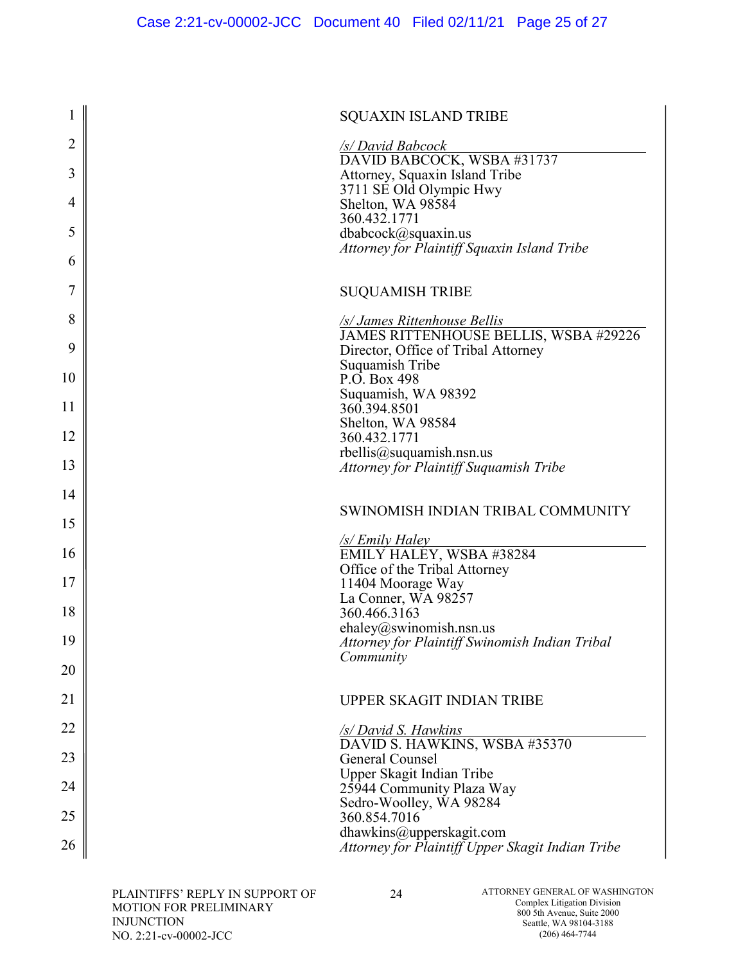| $\mathbf 1$ | <b>SQUAXIN ISLAND TRIBE</b>                                                  |
|-------------|------------------------------------------------------------------------------|
| 2           | <b>S/David Babcock</b>                                                       |
| 3           | DAVID BABCOCK, WSBA #31737<br>Attorney, Squaxin Island Tribe                 |
| 4           | 3711 SE Old Olympic Hwy<br>Shelton, WA 98584                                 |
|             | 360.432.1771                                                                 |
| 5           | dbabcock@squaxin.us<br>Attorney for Plaintiff Squaxin Island Tribe           |
| 6           |                                                                              |
| 7           | <b>SUQUAMISH TRIBE</b>                                                       |
| 8           | /s/ James Rittenhouse Bellis                                                 |
| 9           | JAMES RITTENHOUSE BELLIS, WSBA #29226<br>Director, Office of Tribal Attorney |
| 10          | Suquamish Tribe<br>P.O. Box 498                                              |
| 11          | Suquamish, WA 98392<br>360.394.8501                                          |
| 12          | Shelton, WA 98584                                                            |
|             | 360.432.1771<br>rbellis@suquamish.nsn.us                                     |
| 13          | <b>Attorney for Plaintiff Suquamish Tribe</b>                                |
| 14          | SWINOMISH INDIAN TRIBAL COMMUNITY                                            |
|             |                                                                              |
| 15          |                                                                              |
| 16          | <u>/s/ Emily Haley</u><br>EMILY HALEY, WSBA #38284                           |
| 17          | Office of the Tribal Attorney<br>11404 Moorage Way                           |
| 18          | La Conner, WA 98257                                                          |
|             | 360.466.3163<br>ehaley@swinomish.nsn.us                                      |
| 19          | Attorney for Plaintiff Swinomish Indian Tribal<br>Community                  |
| 20          |                                                                              |
| 21          | UPPER SKAGIT INDIAN TRIBE                                                    |
| 22          | /s/ David S. Hawkins                                                         |
| 23          | DAVID S. HAWKINS, WSBA #35370<br>General Counsel                             |
| 24          | Upper Skagit Indian Tribe<br>25944 Community Plaza Way                       |
| 25          | Sedro-Woolley, WA 98284<br>360.854.7016                                      |
| 26          | dhawkins@upperskagit.com<br>Attorney for Plaintiff Upper Skagit Indian Tribe |

PLAINTIFFS' REPLY IN SUPPORT OF MOTION FOR PRELIMINARY INJUNCTION NO. 2:21-cv-00002-JCC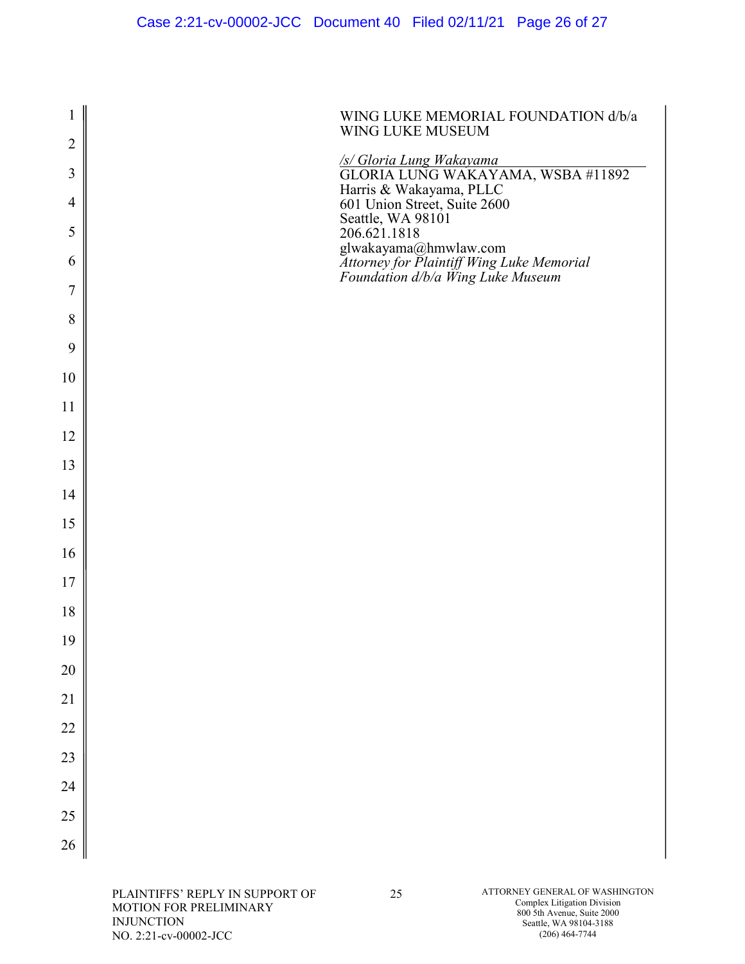| $\mathbf{1}$   | WING LUKE MEMORIAL FOUNDATION d/b/a<br>WING LUKE MUSEUM                                                 |
|----------------|---------------------------------------------------------------------------------------------------------|
| $\overline{2}$ |                                                                                                         |
| 3              | S/Gloria Lung Wakayama<br>GLORIA LUNG WAKAYAMA, WSBA #11892                                             |
| $\overline{4}$ | Harris & Wakayama, PLLC<br>601 Union Street, Suite 2600<br>Seattle, WA 98101<br>206.621.1818            |
| 5<br>6         | glwakayama@hmwlaw.com<br>Attorney for Plaintiff Wing Luke Memorial<br>Foundation d/b/a Wing Luke Museum |
| $\tau$         |                                                                                                         |
| 8              |                                                                                                         |
| 9              |                                                                                                         |
| 10             |                                                                                                         |
| 11             |                                                                                                         |
| 12             |                                                                                                         |
| 13             |                                                                                                         |
| 14             |                                                                                                         |
| 15             |                                                                                                         |
| 16             |                                                                                                         |
| 17             |                                                                                                         |
| 18             |                                                                                                         |
| 19             |                                                                                                         |
| 20             |                                                                                                         |
| 21             |                                                                                                         |
| 22             |                                                                                                         |
| 23             |                                                                                                         |
| 24             |                                                                                                         |
| 25             |                                                                                                         |
| 26             |                                                                                                         |
|                |                                                                                                         |